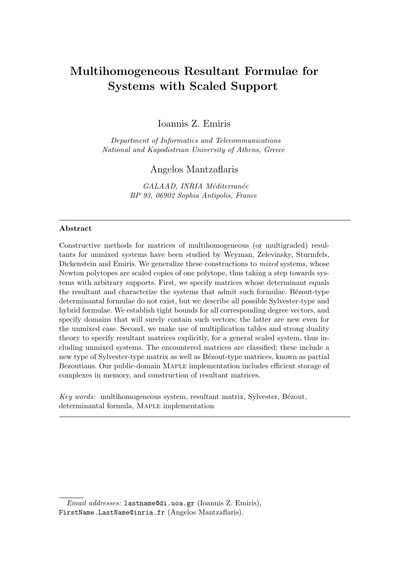# Multihomogeneous Resultant Formulae for Systems with Scaled Support

Ioannis Z. Emiris

Department of Informatics and Telecommunications National and Kapodistrian University of Athens, Greece

# Angelos Mantzaflaris

GALAAD, INRIA Méditerranée BP 93, 06902 Sophia Antipolis, France

#### Abstract

Constructive methods for matrices of multihomogeneous (or multigraded) resultants for unmixed systems have been studied by Weyman, Zelevinsky, Sturmfels, Dickenstein and Emiris. We generalize these constructions to *mixed* systems, whose Newton polytopes are scaled copies of one polytope, thus taking a step towards systems with arbitrary supports. First, we specify matrices whose determinant equals the resultant and characterize the systems that admit such formulae. Bézout-type determinantal formulae do not exist, but we describe all possible Sylvester-type and hybrid formulae. We establish tight bounds for all corresponding degree vectors, and specify domains that will surely contain such vectors; the latter are new even for the unmixed case. Second, we make use of multiplication tables and strong duality theory to specify resultant matrices explicitly, for a general scaled system, thus including unmixed systems. The encountered matrices are classified; these include a new type of Sylvester-type matrix as well as Bézout-type matrices, known as partial Bezoutians. Our public-domain Maple implementation includes efficient storage of complexes in memory, and construction of resultant matrices.

Key words: multihomogeneous system, resultant matrix, Sylvester, Bézout, determinantal formula, MAPLE implementation

Email addresses: lastname@di.uoa.gr (Ioannis Z. Emiris), FirstName.LastName@inria.fr (Angelos Mantzaflaris).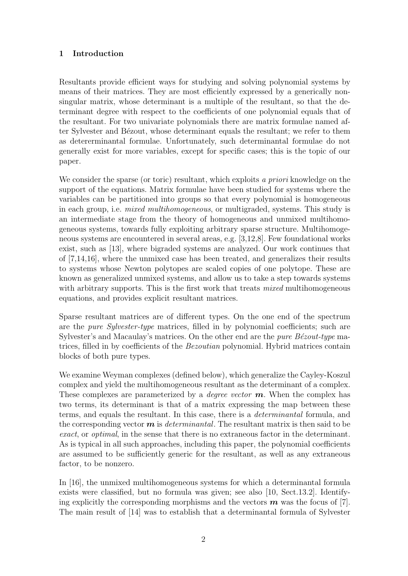# 1 Introduction

Resultants provide efficient ways for studying and solving polynomial systems by means of their matrices. They are most efficiently expressed by a generically nonsingular matrix, whose determinant is a multiple of the resultant, so that the determinant degree with respect to the coefficients of one polynomial equals that of the resultant. For two univariate polynomials there are matrix formulae named after Sylvester and Bézout, whose determinant equals the resultant; we refer to them as detererminantal formulae. Unfortunately, such determinantal formulae do not generally exist for more variables, except for specific cases; this is the topic of our paper.

We consider the sparse (or toric) resultant, which exploits a priori knowledge on the support of the equations. Matrix formulae have been studied for systems where the variables can be partitioned into groups so that every polynomial is homogeneous in each group, i.e. mixed multihomogeneous, or multigraded, systems. This study is an intermediate stage from the theory of homogeneous and unmixed multihomogeneous systems, towards fully exploiting arbitrary sparse structure. Multihomogeneous systems are encountered in several areas, e.g. [3,12,8]. Few foundational works exist, such as [13], where bigraded systems are analyzed. Our work continues that of [7,14,16], where the unmixed case has been treated, and generalizes their results to systems whose Newton polytopes are scaled copies of one polytope. These are known as generalized unmixed systems, and allow us to take a step towards systems with arbitrary supports. This is the first work that treats *mixed* multihomogeneous equations, and provides explicit resultant matrices.

Sparse resultant matrices are of different types. On the one end of the spectrum are the pure Sylvester-type matrices, filled in by polynomial coefficients; such are Sylvester's and Macaulay's matrices. On the other end are the *pure Bézout-type* matrices, filled in by coefficients of the Bezoutian polynomial. Hybrid matrices contain blocks of both pure types.

We examine Weyman complexes (defined below), which generalize the Cayley-Koszul complex and yield the multihomogeneous resultant as the determinant of a complex. These complexes are parameterized by a *degree vector*  $m$ . When the complex has two terms, its determinant is that of a matrix expressing the map between these terms, and equals the resultant. In this case, there is a determinantal formula, and the corresponding vector  $m$  is *determinantal*. The resultant matrix is then said to be exact, or *optimal*, in the sense that there is no extraneous factor in the determinant. As is typical in all such approaches, including this paper, the polynomial coefficients are assumed to be sufficiently generic for the resultant, as well as any extraneous factor, to be nonzero.

In [16], the unmixed multihomogeneous systems for which a determinantal formula exists were classified, but no formula was given; see also [10, Sect.13.2]. Identifying explicitly the corresponding morphisms and the vectors  $\boldsymbol{m}$  was the focus of [7]. The main result of [14] was to establish that a determinantal formula of Sylvester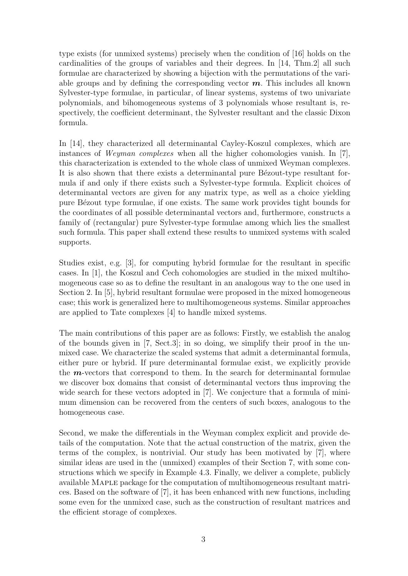type exists (for unmixed systems) precisely when the condition of [16] holds on the cardinalities of the groups of variables and their degrees. In [14, Thm.2] all such formulae are characterized by showing a bijection with the permutations of the variable groups and by defining the corresponding vector  $m$ . This includes all known Sylvester-type formulae, in particular, of linear systems, systems of two univariate polynomials, and bihomogeneous systems of 3 polynomials whose resultant is, respectively, the coefficient determinant, the Sylvester resultant and the classic Dixon formula.

In [14], they characterized all determinantal Cayley-Koszul complexes, which are instances of *Weyman complexes* when all the higher cohomologies vanish. In [7], this characterization is extended to the whole class of unmixed Weyman complexes. It is also shown that there exists a determinantal pure Bézout-type resultant formula if and only if there exists such a Sylvester-type formula. Explicit choices of determinantal vectors are given for any matrix type, as well as a choice yielding pure B´ezout type formulae, if one exists. The same work provides tight bounds for the coordinates of all possible determinantal vectors and, furthermore, constructs a family of (rectangular) pure Sylvester-type formulae among which lies the smallest such formula. This paper shall extend these results to unmixed systems with scaled supports.

Studies exist, e.g. [3], for computing hybrid formulae for the resultant in specific cases. In [1], the Koszul and Cech cohomologies are studied in the mixed multihomogeneous case so as to define the resultant in an analogous way to the one used in Section 2. In [5], hybrid resultant formulae were proposed in the mixed homogeneous case; this work is generalized here to multihomogeneous systems. Similar approaches are applied to Tate complexes [4] to handle mixed systems.

The main contributions of this paper are as follows: Firstly, we establish the analog of the bounds given in [7, Sect.3]; in so doing, we simplify their proof in the unmixed case. We characterize the scaled systems that admit a determinantal formula, either pure or hybrid. If pure determinantal formulae exist, we explicitly provide the  $m$ -vectors that correspond to them. In the search for determinantal formulae we discover box domains that consist of determinantal vectors thus improving the wide search for these vectors adopted in [7]. We conjecture that a formula of minimum dimension can be recovered from the centers of such boxes, analogous to the homogeneous case.

Second, we make the differentials in the Weyman complex explicit and provide details of the computation. Note that the actual construction of the matrix, given the terms of the complex, is nontrivial. Our study has been motivated by [7], where similar ideas are used in the (unmixed) examples of their Section 7, with some constructions which we specify in Example 4.3. Finally, we deliver a complete, publicly available Maple package for the computation of multihomogeneous resultant matrices. Based on the software of [7], it has been enhanced with new functions, including some even for the unmixed case, such as the construction of resultant matrices and the efficient storage of complexes.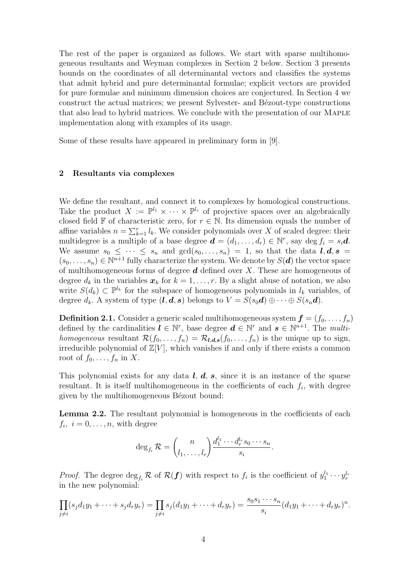The rest of the paper is organized as follows. We start with sparse multihomogeneous resultants and Weyman complexes in Section 2 below. Section 3 presents bounds on the coordinates of all determinantal vectors and classifies the systems that admit hybrid and pure determinantal formulae; explicit vectors are provided for pure formulae and minimum dimension choices are conjectured. In Section 4 we construct the actual matrices; we present Sylvester- and Bézout-type constructions that also lead to hybrid matrices. We conclude with the presentation of our Maple implementation along with examples of its usage.

Some of these results have appeared in preliminary form in [9].

## 2 Resultants via complexes

We define the resultant, and connect it to complexes by homological constructions. Take the product  $X := \mathbb{P}^{l_1} \times \cdots \times \mathbb{P}^{l_r}$  of projective spaces over an algebraically closed field F of characteristic zero, for  $r \in \mathbb{N}$ . Its dimension equals the number of affine variables  $n = \sum_{k=1}^{r} l_k$ . We consider polynomials over X of scaled degree: their multidegree is a multiple of a base degree  $\mathbf{d} = (d_1, \ldots, d_r) \in \mathbb{N}^r$ , say deg  $f_i = s_i \mathbf{d}$ . We assume  $s_0 \leq \cdots \leq s_n$  and  $gcd(s_0, \ldots, s_n) = 1$ , so that the data  $l, d, s =$  $(s_0, \ldots, s_n) \in \mathbb{N}^{n+1}$  fully characterize the system. We denote by  $S(\boldsymbol{d})$  the vector space of multihomogeneous forms of degree  $d$  defined over  $X$ . These are homogeneous of degree  $d_k$  in the variables  $\mathbf{x}_k$  for  $k = 1, \ldots, r$ . By a slight abuse of notation, we also write  $S(d_k) \subset \mathbb{P}^{l_k}$  for the subspace of homogeneous polynomials in  $l_k$  variables, of degree  $d_k$ . A system of type  $(\bm{l}, \bm{d}, \bm{s})$  belongs to  $V = S(s_0\bm{d}) \oplus \cdots \oplus S(s_n\bm{d})$ .

**Definition 2.1.** Consider a generic scaled multihomogeneous system  $f = (f_0, \ldots, f_n)$ defined by the cardinalities  $\boldsymbol{l} \in \mathbb{N}^r$ , base degree  $\boldsymbol{d} \in \mathbb{N}^r$  and  $\boldsymbol{s} \in \mathbb{N}^{n+1}$ . The multihomogeneous resultant  $\mathcal{R}(f_0,\ldots,f_n) = \mathcal{R}_{\mathbf{l},\mathbf{d},\mathbf{s}}(f_0,\ldots,f_n)$  is the unique up to sign, irreducible polynomial of  $\mathbb{Z}[V]$ , which vanishes if and only if there exists a common root of  $f_0, \ldots, f_n$  in X.

This polynomial exists for any data  $l, d, s$ , since it is an instance of the sparse resultant. It is itself multihomogeneous in the coefficients of each  $f_i$ , with degree given by the multihomogeneous Bézout bound:

Lemma 2.2. The resultant polynomial is homogeneous in the coefficients of each  $f_i, i = 0, \ldots, n$ , with degree

$$
\deg_{f_i} \mathcal{R} = \binom{n}{l_1, \dots, l_r} \frac{d_1^{l_1} \cdots d_r^{l_r} s_0 \cdots s_n}{s_i}.
$$

*Proof.* The degree  $\deg_{f_i} \mathcal{R}$  of  $\mathcal{R}(f)$  with respect to  $f_i$  is the coefficient of  $y_1^{l_1} \cdots y_r^{l_r}$ in the new polynomial:

$$
\prod_{j\neq i}(s_jd_1y_1 + \dots + s_jd_ry_r) = \prod_{j\neq i}s_j(d_1y_1 + \dots + d_ry_r) = \frac{s_0s_1\cdots s_n}{s_i}(d_1y_1 + \dots + d_ry_r)^n.
$$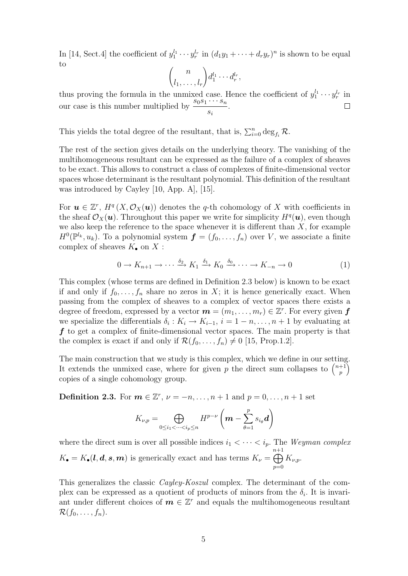In [14, Sect.4] the coefficient of  $y_1^{l_1} \cdots y_r^{l_r}$  in  $(d_1y_1 + \cdots + d_ry_r)^n$  is shown to be equal to

$$
\binom{n}{l_1,\ldots,l_r}d_1^{l_1}\cdots d_r^{l_r},
$$

thus proving the formula in the unmixed case. Hence the coefficient of  $y_1^{l_1} \cdots y_r^{l_r}$  in our case is this number multiplied by  $\frac{s_0s_1\cdots s_n}{s_0s_1\cdots s_n}$ si .

This yields the total degree of the resultant, that is,  $\sum_{i=0}^{n} \deg_{f_i} \mathcal{R}$ .

The rest of the section gives details on the underlying theory. The vanishing of the multihomogeneous resultant can be expressed as the failure of a complex of sheaves to be exact. This allows to construct a class of complexes of finite-dimensional vector spaces whose determinant is the resultant polynomial. This definition of the resultant was introduced by Cayley [10, App. A], [15].

For  $u \in \mathbb{Z}^r$ ,  $H^q(X, \mathcal{O}_X(u))$  denotes the q-th cohomology of X with coefficients in the sheaf  $\mathcal{O}_X(\boldsymbol{u})$ . Throughout this paper we write for simplicity  $H^q(\boldsymbol{u})$ , even though we also keep the reference to the space whenever it is different than  $X$ , for example  $H^0(\mathbb{P}^{l_k}, u_k)$ . To a polynomial system  $\boldsymbol{f} = (f_0, \ldots, f_n)$  over V, we associate a finite complex of sheaves  $K_{\bullet}$  on  $X$ :

$$
0 \to K_{n+1} \to \cdots \xrightarrow{\delta_2} K_1 \xrightarrow{\delta_1} K_0 \xrightarrow{\delta_0} \cdots \to K_{-n} \to 0
$$
 (1)

This complex (whose terms are defined in Definition 2.3 below) is known to be exact if and only if  $f_0, \ldots, f_n$  share no zeros in X; it is hence generically exact. When passing from the complex of sheaves to a complex of vector spaces there exists a degree of freedom, expressed by a vector  $\boldsymbol{m} = (m_1, \ldots, m_r) \in \mathbb{Z}^r$ . For every given  $\boldsymbol{f}$ we specialize the differentials  $\delta_i: K_i \to K_{i-1}, i = 1-n, \ldots, n+1$  by evaluating at  $f$  to get a complex of finite-dimensional vector spaces. The main property is that the complex is exact if and only if  $\mathcal{R}(f_0, \ldots, f_n) \neq 0$  [15, Prop.1.2].

The main construction that we study is this complex, which we define in our setting. It extends the unmixed case, where for given p the direct sum collapses to  $\binom{n+1}{n}$ p  $\setminus$ copies of a single cohomology group.

**Definition 2.3.** For  $m \in \mathbb{Z}^r$ ,  $\nu = -n, \ldots, n+1$  and  $p = 0, \ldots, n+1$  set

$$
K_{\nu,p} = \bigoplus_{0 \leq i_1 < \dots < i_p \leq n} H^{p-\nu} \left( \mathbf{m} - \sum_{\theta=1}^p s_{i_{\theta}} \mathbf{d} \right)
$$

where the direct sum is over all possible indices  $i_1 < \cdots < i_p$ . The Weyman complex  $K_{\bullet} = K_{\bullet}(l, d, s, m)$  is generically exact and has terms  $K_{\nu} =$ n $\bigoplus$  $^{+1}$  $p=0$  $K_{\nu,p}$ .

This generalizes the classic Cayley-Koszul complex. The determinant of the complex can be expressed as a quotient of products of minors from the  $\delta_i$ . It is invariant under different choices of  $m \in \mathbb{Z}^r$  and equals the multihomogeneous resultant  $\mathcal{R}(f_0,\ldots,f_n).$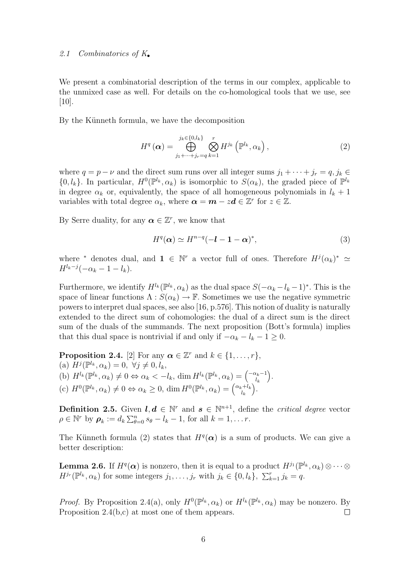## 2.1 Combinatorics of K.

We present a combinatorial description of the terms in our complex, applicable to the unmixed case as well. For details on the co-homological tools that we use, see  $[10]$ .

By the Künneth formula, we have the decomposition

$$
H^{q}\left(\boldsymbol{\alpha}\right) = \bigoplus_{j_{1}+\cdots+j_{r}=q}^{j_{k}\in\{0,l_{k}\}} \bigotimes_{k=1}^{r} H^{j_{k}}\left(\mathbb{P}^{l_{k}},\alpha_{k}\right),\tag{2}
$$

where  $q = p - \nu$  and the direct sum runs over all integer sums  $j_1 + \cdots + j_r = q, j_k \in$  $\{0, l_k\}$ . In particular,  $H^0(\mathbb{P}^{l_k}, \alpha_k)$  is isomorphic to  $S(\alpha_k)$ , the graded piece of  $\mathbb{P}^{l_k}$ in degree  $\alpha_k$  or, equivalently, the space of all homogeneous polynomials in  $l_k + 1$ variables with total degree  $\alpha_k$ , where  $\boldsymbol{\alpha} = \boldsymbol{m} - z\boldsymbol{d} \in \mathbb{Z}^r$  for  $z \in \mathbb{Z}$ .

By Serre duality, for any  $\boldsymbol{\alpha} \in \mathbb{Z}^r$ , we know that

$$
H^{q}(\alpha) \simeq H^{n-q}(-l-1-\alpha)^{*}, \qquad (3)
$$

where <sup>\*</sup> denotes dual, and  $\mathbf{1} \in \mathbb{N}^r$  a vector full of ones. Therefore  $H^j(\alpha_k)^* \simeq$  $H^{l_k-j}(-\alpha_k-1-l_k).$ 

Furthermore, we identify  $H^{l_k}(\mathbb{P}^{l_k}, \alpha_k)$  as the dual space  $S(-\alpha_k - l_k - 1)^*$ . This is the space of linear functions  $\Lambda : S(\alpha_k) \to \mathbb{F}$ . Sometimes we use the negative symmetric powers to interpret dual spaces, see also [16, p.576]. This notion of duality is naturally extended to the direct sum of cohomologies: the dual of a direct sum is the direct sum of the duals of the summands. The next proposition (Bott's formula) implies that this dual space is nontrivial if and only if  $-\alpha_k - l_k - 1 \geq 0$ .

**Proposition 2.4.** [2] For any  $\alpha \in \mathbb{Z}^r$  and  $k \in \{1, \ldots, r\}$ , (a)  $H^j(\mathbb{P}^{l_k}, \alpha_k) = 0, \forall j \neq 0, l_k,$ (b)  $H^{l_k}(\mathbb{P}^{l_k}, \alpha_k) \neq 0 \Leftrightarrow \alpha_k < -l_k$ , dim  $H^{l_k}(\mathbb{P}^{l_k}, \alpha_k) = \begin{pmatrix} -\alpha_k - 1 \\ l_k \end{pmatrix}$  $l_k$  . (c)  $H^0(\mathbb{P}^{l_k}, \alpha_k) \neq 0 \Leftrightarrow \alpha_k \geq 0$ , dim  $H^0(\mathbb{P}^{l_k}, \alpha_k) = \begin{pmatrix} \alpha_k + l_k \\ l_k \end{pmatrix}$  $l_k$ .

**Definition 2.5.** Given  $l, d \in \mathbb{N}^r$  and  $s \in \mathbb{N}^{n+1}$ , define the *critical degree* vector  $\rho \in \mathbb{N}^r$  by  $\rho_k := d_k \sum_{\theta=0}^n s_\theta - l_k - 1$ , for all  $k = 1, \ldots r$ .

The Künneth formula (2) states that  $H^{q}(\alpha)$  is a sum of products. We can give a better description:

**Lemma 2.6.** If  $H^q(\alpha)$  is nonzero, then it is equal to a product  $H^{j_1}(\mathbb{P}^{l_k}, \alpha_k) \otimes \cdots \otimes$  $H^{j_r}(\mathbb{P}^{l_k}, \alpha_k)$  for some integers  $j_1, \ldots, j_r$  with  $j_k \in \{0, l_k\}, \ \sum_{k=1}^r j_k = q$ .

*Proof.* By Proposition 2.4(a), only  $H^0(\mathbb{P}^{l_k}, \alpha_k)$  or  $H^{l_k}(\mathbb{P}^{l_k}, \alpha_k)$  may be nonzero. By Proposition 2.4(b,c) at most one of them appears.  $\Box$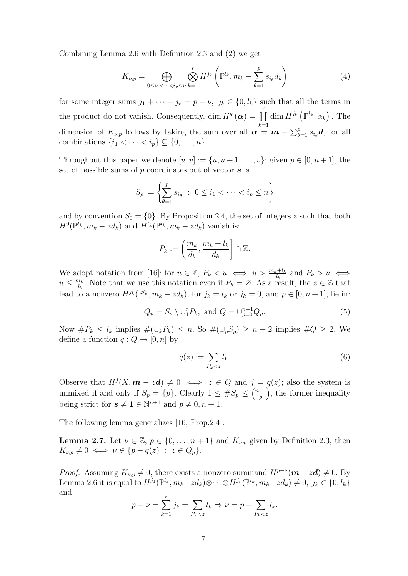Combining Lemma 2.6 with Definition 2.3 and (2) we get

$$
K_{\nu,p} = \bigoplus_{0 \le i_1 < \dots < i_p \le n} \bigotimes_{k=1}^r H^{j_k} \left( \mathbb{P}^{l_k}, m_k - \sum_{\theta=1}^p s_{i_\theta} d_k \right) \tag{4}
$$

for some integer sums  $j_1 + \cdots + j_r = p - \nu$ ,  $j_k \in \{0, l_k\}$  such that all the terms in the product do not vanish. Consequently, dim  $H^q(\boldsymbol{\alpha}) = \prod_{k=1}^r \dim H^{j_k}(\mathbb{P}^{l_k}, \alpha_k)$ . The dimension of  $K_{\nu,p}$  follows by taking the sum over all  $\boldsymbol{\alpha} = \boldsymbol{m} - \sum_{\theta=1}^p s_{i_\theta} \boldsymbol{d}$ , for all combinations  $\{i_1 < \cdots < i_p\} \subseteq \{0, \ldots, n\}.$ 

Throughout this paper we denote  $[u, v] := \{u, u + 1, \ldots, v\}$ ; given  $p \in [0, n + 1]$ , the set of possible sums of  $p$  coordinates out of vector  $s$  is

$$
S_p := \left\{ \sum_{\theta=1}^p s_{i_{\theta}} \ : \ 0 \le i_1 < \dots < i_p \le n \right\}
$$

and by convention  $S_0 = \{0\}$ . By Proposition 2.4, the set of integers z such that both  $H^0(\mathbb{P}^{l_k}, m_k - zd_k)$  and  $H^{l_k}(\mathbb{P}^{l_k}, m_k - zd_k)$  vanish is:

$$
P_k := \left(\frac{m_k}{d_k}, \frac{m_k + l_k}{d_k}\right] \cap \mathbb{Z}.
$$

We adopt notation from [16]: for  $u \in \mathbb{Z}$ ,  $P_k < u \iff u > \frac{m_k + l_k}{d_k}$  and  $P_k > u \iff$  $u \leq \frac{m_k}{d_k}$  $\frac{d_{k}}{d_{k}}$ . Note that we use this notation even if  $P_{k} = \emptyset$ . As a result, the  $z \in \mathbb{Z}$  that lead to a nonzero  $H^{j_k}(\mathbb{P}^{l_k}, m_k - z d_k)$ , for  $j_k = l_k$  or  $j_k = 0$ , and  $p \in [0, n + 1]$ , lie in:

$$
Q_p = S_p \setminus \cup_1^r P_k, \text{ and } Q = \cup_{p=0}^{n+1} Q_p. \tag{5}
$$

Now  $\#P_k \leq l_k$  implies  $\#(\cup_k P_k) \leq n$ . So  $\#(\cup_p S_p) \geq n+2$  implies  $\#Q \geq 2$ . We define a function  $q: Q \to [0, n]$  by

$$
q(z) := \sum_{P_k < z} l_k. \tag{6}
$$

Observe that  $H^j(X, m - zd) \neq 0 \iff z \in Q$  and  $j = q(z)$ ; also the system is unmixed if and only if  $S_p = \{p\}$ . Clearly  $1 \leq \#S_p \leq {n+1 \choose p}$ p , the former inequality being strict for  $s \neq 1 \in \mathbb{N}^{n+1}$  and  $p \neq 0, n+1$ .

The following lemma generalizes [16, Prop.2.4].

**Lemma 2.7.** Let  $\nu \in \mathbb{Z}$ ,  $p \in \{0, \ldots, n+1\}$  and  $K_{\nu,p}$  given by Definition 2.3; then  $K_{\nu,p} \neq 0 \iff \nu \in \{p-q(z) : z \in Q_p\}.$ 

*Proof.* Assuming  $K_{\nu,p} \neq 0$ , there exists a nonzero summand  $H^{p-\nu}(\mathbf{m} - z\mathbf{d}) \neq 0$ . By Lemma 2.6 it is equal to  $H^{j_1}(\mathbb{P}^{l_k}, m_k - zd_k) \otimes \cdots \otimes H^{j_r}(\mathbb{P}^{l_k}, m_k - zd_k) \neq 0, \ j_k \in \{0, l_k\}$ and

$$
p - \nu = \sum_{k=1}^{r} j_k = \sum_{P_k < z} l_k \Rightarrow \nu = p - \sum_{P_k < z} l_k.
$$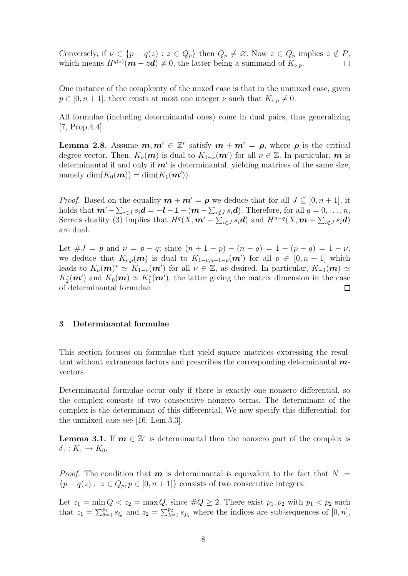Conversely, if  $\nu \in \{p - q(z) : z \in Q_p\}$  then  $Q_p \neq \emptyset$ . Now  $z \in Q_p$  implies  $z \notin P$ , which means  $H^{q(z)}(\mathbf{m} - z\mathbf{d}) \neq 0$ , the latter being a summand of  $K_{\nu,p}$ .  $\Box$ 

One instance of the complexity of the mixed case is that in the unmixed case, given  $p \in [0, n + 1]$ , there exists at most one integer  $\nu$  such that  $K_{\nu, p} \neq 0$ .

All formulae (including determinantal ones) come in dual pairs, thus generalizing [7, Prop.4.4].

**Lemma 2.8.** Assume  $m, m' \in \mathbb{Z}^r$  satisfy  $m + m' = \rho$ , where  $\rho$  is the critical degree vector. Then,  $K_{\nu}(m)$  is dual to  $K_{1-\nu}(m')$  for all  $\nu \in \mathbb{Z}$ . In particular, m is determinantal if and only if  $m'$  is determinantal, yielding matrices of the same size, namely  $\dim(K_0(m)) = \dim(K_1(m')).$ 

*Proof.* Based on the equality  $m + m' = \rho$  we deduce that for all  $J \subseteq [0, n + 1]$ , it holds that  $\bm{m}' - \sum_{i \in J} s_i \bm{d} = -\bm{l} - 1 - (\bm{m} - \sum_{i \notin J} s_i \bm{d})$ . Therefore, for all  $q = 0, \ldots, n$ , Serre's duality (3) implies that  $H^q(X, m' - \sum_{i \in J} s_i \mathbf{d})$  and  $H^{n-q}(X, \mathbf{m} - \sum_{i \notin J} s_i \mathbf{d})$ are dual.

Let  $\#J = p$  and  $\nu = p - q$ ; since  $(n + 1 - p) - (n - q) = 1 - (p - q) = 1 - \nu$ , we deduce that  $K_{\nu,p}(\boldsymbol{m})$  is dual to  $K_{1-\nu,n+1-p}(\boldsymbol{m}')$  for all  $p \in [0,n+1]$  which leads to  $K_{\nu}(m)^{*} \simeq K_{1-\nu}(m')$  for all  $\nu \in \mathbb{Z}$ , as desired. In particular,  $K_{-1}(m) \simeq$  $K_2^*(\mathbf{m}')$  and  $K_0(\mathbf{m}) \simeq K_1^*(\mathbf{m}')$ , the latter giving the matrix dimension in the case of determinantal formulae.  $\Box$ 

## 3 Determinantal formulae

This section focuses on formulae that yield square matrices expressing the resultant without extraneous factors and prescribes the corresponding determinantal  $m$ vectors.

Determinantal formulae occur only if there is exactly one nonzero differential, so the complex consists of two consecutive nonzero terms. The determinant of the complex is the determinant of this differential. We now specify this differential; for the unmixed case see [16, Lem.3.3].

**Lemma 3.1.** If  $m \in \mathbb{Z}^r$  is determinantal then the nonzero part of the complex is  $\delta_1: K_1 \to K_0.$ 

*Proof.* The condition that  $m$  is determinantal is equivalent to the fact that  $N :=$  ${p - q(z): z \in Q_p, p \in [0, n + 1]}$  consists of two consecutive integers.

Let  $z_1 = \min Q < z_2 = \max Q$ , since  $\#Q \geq 2$ . There exist  $p_1, p_2$  with  $p_1 < p_2$  such that  $z_1 = \sum_{\theta=1}^{p_1} s_{i_\theta}$  and  $z_2 = \sum_{\lambda=1}^{p_2} s_{j_\lambda}$  where the indices are sub-sequences of  $[0, n]$ ,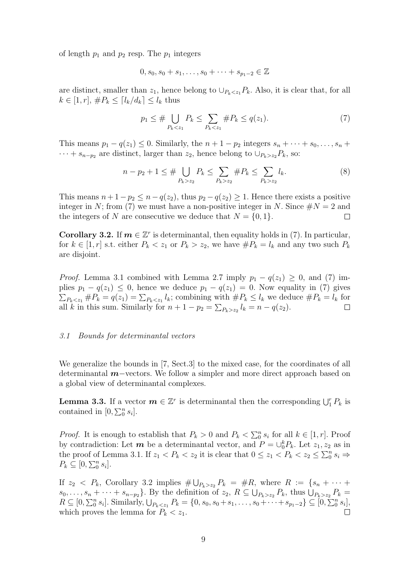of length  $p_1$  and  $p_2$  resp. The  $p_1$  integers

$$
0, s_0, s_0 + s_1, \dots, s_0 + \dots + s_{p_1 - 2} \in \mathbb{Z}
$$

are distinct, smaller than  $z_1$ , hence belong to  $\cup_{P_k \leq z_1} P_k$ . Also, it is clear that, for all  $k \in [1, r], \#P_k \leq [l_k/d_k] \leq l_k$  thus

$$
p_1 \le \# \bigcup_{P_k < z_1} P_k \le \sum_{P_k < z_1} \# P_k \le q(z_1). \tag{7}
$$

This means  $p_1 - q(z_1) \leq 0$ . Similarly, the  $n + 1 - p_2$  integers  $s_n + \cdots + s_0, \ldots, s_n +$  $\cdots + s_{n-p_2}$  are distinct, larger than  $z_2$ , hence belong to  $\cup_{P_k>z_2}P_k$ , so:

$$
n - p_2 + 1 \le \# \bigcup_{P_k > z_2} P_k \le \sum_{P_k > z_2} \# P_k \le \sum_{P_k > z_2} l_k. \tag{8}
$$

This means  $n + 1 - p_2 \leq n - q(z_2)$ , thus  $p_2 - q(z_2) \geq 1$ . Hence there exists a positive integer in N; from (7) we must have a non-positive integer in N. Since  $\#N = 2$  and the integers of N are consecutive we deduce that  $N = \{0, 1\}.$  $\Box$ 

**Corollary 3.2.** If  $m \in \mathbb{Z}^r$  is determinantal, then equality holds in (7). In particular, for  $k \in [1, r]$  s.t. either  $P_k < z_1$  or  $P_k > z_2$ , we have  $\#P_k = l_k$  and any two such  $P_k$ are disjoint.

*Proof.* Lemma 3.1 combined with Lemma 2.7 imply  $p_1 - q(z_1) \geq 0$ , and (7) implies  $p_1 - q(z_1) \leq 0$ , hence we deduce  $p_1 - q(z_1) = 0$ . Now equality in (7) gives  $\sum_{P_k \leq z_1} \#P_k = q(z_1) = \sum_{P_k \leq z_1} l_k$ ; combining with  $\#P_k \leq l_k$  we deduce  $\#P_k = l_k$  for all k in this sum. Similarly for  $n + 1 - p_2 = \sum_{P_k > z_2} l_k = n - q(z_2)$ .

#### 3.1 Bounds for determinantal vectors

We generalize the bounds in [7, Sect.3] to the mixed case, for the coordinates of all determinantal m−vectors. We follow a simpler and more direct approach based on a global view of determinantal complexes.

**Lemma 3.3.** If a vector  $m \in \mathbb{Z}^r$  is determinantal then the corresponding  $\bigcup_{i=1}^r P_k$  is contained in  $[0, \sum_0^n s_i]$ .

*Proof.* It is enough to establish that  $P_k > 0$  and  $P_k < \sum_0^n s_i$  for all  $k \in [1, r]$ . Proof by contradiction: Let  $m$  be a determinantal vector, and  $P = \bigcup_{0}^{k} P_{k}$ . Let  $z_1, z_2$  as in the proof of Lemma 3.1. If  $z_1 < P_k < z_2$  it is clear that  $0 \le z_1 < P_k < z_2 \le \sum_0^n s_i \Rightarrow$  $P_k \subseteq [0, \sum_0^n s_i].$ 

If  $z_2 \leq P_k$ , Corollary 3.2 implies  $\#\bigcup_{P_k>z_2} P_k = \#R$ , where  $R := \{s_n + \cdots + \}$  $s_0, \ldots, s_n + \cdots + s_{n-p_2}$ . By the definition of  $z_2, R \subseteq \bigcup_{P_k>z_2} P_k$ , thus  $\bigcup_{P_k>z_2} P_k =$  $R \subseteq [0, \sum_{0}^{n} s_i].$  Similarly,  $\bigcup_{P_k \leq z_1} P_k = \{0, s_0, s_0 + s_1, \ldots, s_0 + \cdots + s_{p_1-2}\} \subseteq [0, \sum_{0}^{n} s_i],$ which proves the lemma for  $P_k < z_1$ .  $\Box$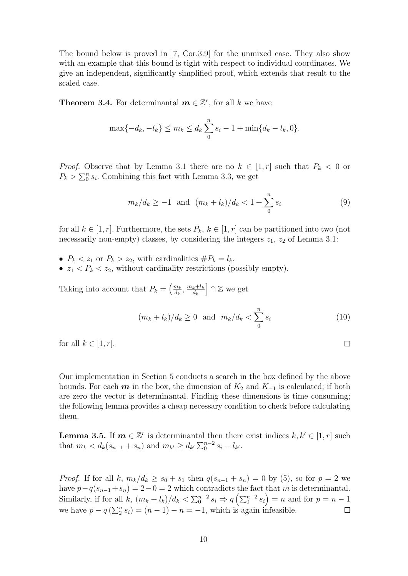The bound below is proved in [7, Cor.3.9] for the unmixed case. They also show with an example that this bound is tight with respect to individual coordinates. We give an independent, significantly simplified proof, which extends that result to the scaled case.

**Theorem 3.4.** For determinantal  $m \in \mathbb{Z}^r$ , for all k we have

$$
\max\{-d_k, -l_k\} \le m_k \le d_k \sum_{0}^{n} s_i - 1 + \min\{d_k - l_k, 0\}.
$$

*Proof.* Observe that by Lemma 3.1 there are no  $k \in [1, r]$  such that  $P_k < 0$  or  $P_k > \sum_0^n s_i$ . Combining this fact with Lemma 3.3, we get

$$
m_k/d_k \ge -1
$$
 and  $(m_k + l_k)/d_k < 1 + \sum_{0}^{n} s_i$  (9)

for all  $k \in [1, r]$ . Furthermore, the sets  $P_k$ ,  $k \in [1, r]$  can be partitioned into two (not necessarily non-empty) classes, by considering the integers  $z_1$ ,  $z_2$  of Lemma 3.1:

- $P_k < z_1$  or  $P_k > z_2$ , with cardinalities  $\# P_k = l_k$ .
- $z_1$  <  $P_k$  <  $z_2$ , without cardinality restrictions (possibly empty).

Taking into account that  $P_k = \left(\frac{m_k}{d_k}\right)$  $\frac{m_k}{d_k}, \frac{m_k+l_k}{d_k}$  $d_k$ i ∩ Z we get

$$
(m_k + l_k)/d_k \ge 0 \quad \text{and} \quad m_k/d_k < \sum_{0}^{n} s_i \tag{10}
$$

 $\Box$ 

for all  $k \in [1, r]$ .

Our implementation in Section 5 conducts a search in the box defined by the above bounds. For each m in the box, the dimension of  $K_2$  and  $K_{-1}$  is calculated; if both are zero the vector is determinantal. Finding these dimensions is time consuming; the following lemma provides a cheap necessary condition to check before calculating them.

**Lemma 3.5.** If  $m \in \mathbb{Z}^r$  is determinantal then there exist indices  $k, k' \in [1, r]$  such that  $m_k < d_k(s_{n-1} + s_n)$  and  $m_{k'} \ge d_{k'} \sum_{0}^{n-2} s_i - l_{k'}$ .

*Proof.* If for all k,  $m_k/d_k \ge s_0 + s_1$  then  $q(s_{n-1} + s_n) = 0$  by (5), so for  $p = 2$  we have  $p-q(s_{n-1}+s_n) = 2-0 = 2$  which contradicts the fact that m is determinantal. Similarly, if for all k,  $(m_k + l_k)/d_k < \sum_0^{n-2} s_i \Rightarrow q\left(\sum_0^{n-2} s_i\right) = n$  and for  $p = n - 1$ we have  $p - q\left(\sum_{i=1}^{n} s_i\right) = (n-1) - n = -1$ , which is again infeasible.  $\Box$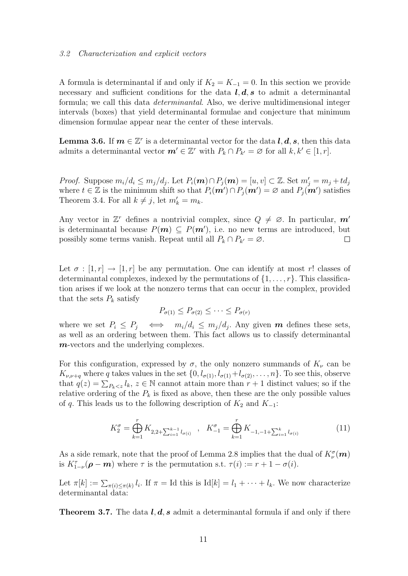#### 3.2 Characterization and explicit vectors

A formula is determinantal if and only if  $K_2 = K_{-1} = 0$ . In this section we provide necessary and sufficient conditions for the data  $l, d, s$  to admit a determinantal formula; we call this data determinantal. Also, we derive multidimensional integer intervals (boxes) that yield determinantal formulae and conjecture that minimum dimension formulae appear near the center of these intervals.

**Lemma 3.6.** If  $m \in \mathbb{Z}^r$  is a determinantal vector for the data  $l, d, s$ , then this data admits a determinantal vector  $\boldsymbol{m}' \in \mathbb{Z}^r$  with  $P_k \cap P_{k'} = \varnothing$  for all  $k, k' \in [1, r]$ .

*Proof.* Suppose  $m_i/d_i \leq m_j/d_j$ . Let  $P_i(\mathbf{m}) \cap P_j(\mathbf{m}) = [u, v] \subset \mathbb{Z}$ . Set  $m'_j = m_j + td_j$ where  $t \in \mathbb{Z}$  is the minimum shift so that  $P_i(\mathbf{m}') \cap P_j(\mathbf{m}') = \varnothing$  and  $P_j(\mathbf{m}')$  satisfies Theorem 3.4. For all  $k \neq j$ , let  $m'_k = m_k$ .

Any vector in  $\mathbb{Z}^r$  defines a nontrivial complex, since  $Q \neq \emptyset$ . In particular,  $m'$ is determinantal because  $P(m) \subseteq P(m')$ , i.e. no new terms are introduced, but possibly some terms vanish. Repeat until all  $P_k \cap P_{k'} = \emptyset$ .  $\Box$ 

Let  $\sigma : [1, r] \rightarrow [1, r]$  be any permutation. One can identify at most r! classes of determinantal complexes, indexed by the permutations of  $\{1, \ldots, r\}$ . This classification arises if we look at the nonzero terms that can occur in the complex, provided that the sets  $P_k$  satisfy

$$
P_{\sigma(1)} \le P_{\sigma(2)} \le \cdots \le P_{\sigma(r)}
$$

where we set  $P_i \leq P_j \iff m_i/d_i \leq m_j/d_j$ . Any given **m** defines these sets, as well as an ordering between them. This fact allows us to classify determinantal m-vectors and the underlying complexes.

For this configuration, expressed by  $\sigma$ , the only nonzero summands of  $K_{\nu}$  can be  $K_{\nu,\nu+q}$  where q takes values in the set  $\{0, l_{\sigma(1)}, l_{\sigma(1)}+l_{\sigma(2)}, \ldots, n\}$ . To see this, observe that  $q(z) = \sum_{P_k < z} l_k, z \in \mathbb{N}$  cannot attain more than  $r + 1$  distinct values; so if the relative ordering of the  $P_k$  is fixed as above, then these are the only possible values of q. This leads us to the following description of  $K_2$  and  $K_{-1}$ :

$$
K_2^{\sigma} = \bigoplus_{k=1}^r K_{2,2+\sum_{i=1}^{k-1} l_{\sigma(i)}} \quad , \quad K_{-1}^{\sigma} = \bigoplus_{k=1}^r K_{-1,-1+\sum_{i=1}^k l_{\sigma(i)}} \tag{11}
$$

As a side remark, note that the proof of Lemma 2.8 implies that the dual of  $K^{\sigma}_{\nu}(m)$ is  $K_{1-\nu}^{\tau}(\rho - m)$  where  $\tau$  is the permutation s.t.  $\tau(i) := r + 1 - \sigma(i)$ .

Let  $\pi[k] := \sum_{\pi(i) \leq \pi(k)} l_i$ . If  $\pi = \text{Id}$  this is  $\text{Id}[k] = l_1 + \cdots + l_k$ . We now characterize determinantal data:

**Theorem 3.7.** The data  $l, d, s$  admit a determinantal formula if and only if there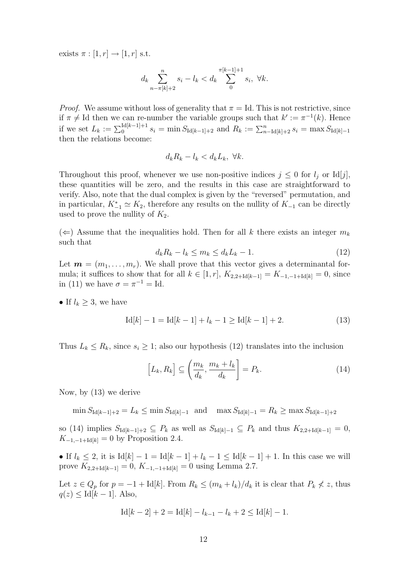exists  $\pi : [1, r] \rightarrow [1, r]$  s.t.

$$
d_k \sum_{n-\pi[k]+2}^{n} s_i - l_k < d_k \sum_{0}^{\pi[k-1]+1} s_i, \ \forall k.
$$

*Proof.* We assume without loss of generality that  $\pi = Id$ . This is not restrictive, since if  $\pi \neq \text{Id}$  then we can re-number the variable groups such that  $k' := \pi^{-1}(k)$ . Hence if we set  $L_k := \sum_{0}^{\text{Id}[k-1]+1} s_i = \min S_{\text{Id}[k-1]+2}$  and  $R_k := \sum_{n=1}^{\infty} \text{Id}[k]+2 s_i = \max S_{\text{Id}[k]-1}$ then the relations become:

$$
d_k R_k - l_k < d_k L_k, \ \forall k.
$$

Throughout this proof, whenever we use non-positive indices  $j \leq 0$  for  $l_j$  or Id[j], these quantities will be zero, and the results in this case are straightforward to verify. Also, note that the dual complex is given by the "reversed" permutation, and in particular,  $K_{-1}^* \simeq K_2$ , therefore any results on the nullity of  $K_{-1}$  can be directly used to prove the nullity of  $K_2$ .

 $(\Leftarrow)$  Assume that the inequalities hold. Then for all k there exists an integer  $m_k$ such that

$$
d_k R_k - l_k \le m_k \le d_k L_k - 1. \tag{12}
$$

Let  $\mathbf{m} = (m_1, \ldots, m_r)$ . We shall prove that this vector gives a determinantal formula; it suffices to show that for all  $k \in [1, r]$ ,  $K_{2,2+1d[k-1]} = K_{-1,-1+d[k]} = 0$ , since in (11) we have  $\sigma = \pi^{-1} = \text{Id}$ .

• If  $l_k \geq 3$ , we have

$$
Id[k] - 1 = Id[k - 1] + l_k - 1 \ge Id[k - 1] + 2.
$$
 (13)

Thus  $L_k \le R_k$ , since  $s_i \ge 1$ ; also our hypothesis (12) translates into the inclusion

$$
\left[L_k, R_k\right] \subseteq \left(\frac{m_k}{d_k}, \frac{m_k + l_k}{d_k}\right] = P_k. \tag{14}
$$

Now, by (13) we derive

 $\min S_{\text{Id}[k-1]+2} = L_k \leq \min S_{\text{Id}[k]-1}$  and  $\max S_{\text{Id}[k]-1} = R_k \geq \max S_{\text{Id}[k-1]+2}$ 

so (14) implies  $S_{Id[k-1]+2} \subseteq P_k$  as well as  $S_{Id[k]-1} \subseteq P_k$  and thus  $K_{2,2+Id[k-1]} = 0$ ,  $K_{-1,-1+\text{Id}[k]} = 0$  by Proposition 2.4.

• If  $l_k \leq 2$ , it is  $\text{Id}[k] - 1 = \text{Id}[k-1] + l_k - 1 \leq \text{Id}[k-1] + 1$ . In this case we will prove  $K_{2,2+\text{Id}[k-1]} = 0$ ,  $K_{-1,-1+\text{Id}[k]} = 0$  using Lemma 2.7.

Let  $z \in Q_p$  for  $p = -1 + \text{Id}[k]$ . From  $R_k \leq (m_k + l_k)/d_k$  it is clear that  $P_k \nless z$ , thus  $q(z) \leq \text{Id}[k-1]$ . Also,

$$
Id[k-2] + 2 = Id[k] - l_{k-1} - l_k + 2 \leq Id[k] - 1.
$$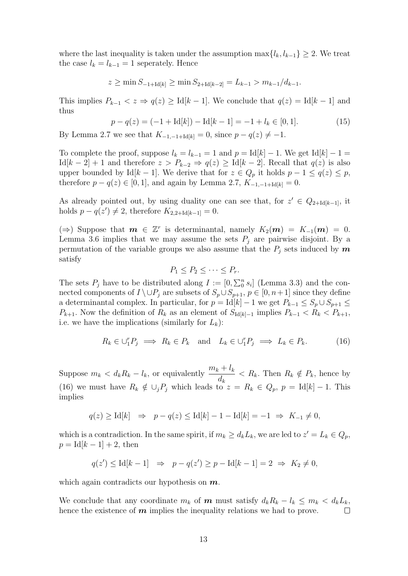where the last inequality is taken under the assumption  $\max\{l_k, l_{k-1}\}\geq 2$ . We treat the case  $l_k = l_{k-1} = 1$  seperately. Hence

$$
z \ge \min S_{-1+\text{Id}[k]} \ge \min S_{2+\text{Id}[k-2]} = L_{k-1} > m_{k-1}/d_{k-1}.
$$

This implies  $P_{k-1} < z \Rightarrow q(z) \geq \text{Id}[k-1]$ . We conclude that  $q(z) = \text{Id}[k-1]$  and thus

$$
p - q(z) = (-1 + \text{Id}[k]) - \text{Id}[k - 1] = -1 + l_k \in [0, 1].
$$
 (15)

By Lemma 2.7 we see that  $K_{-1,-1+\text{Id}[k]} = 0$ , since  $p - q(z) \neq -1$ .

To complete the proof, suppose  $l_k = l_{k-1} = 1$  and  $p = Id[k] - 1$ . We get Id[k] – 1 =  $\text{Id}[k-2]+1$  and therefore  $z > P_{k-2} \Rightarrow q(z) \geq \text{Id}[k-2]$ . Recall that  $q(z)$  is also upper bounded by Id[k – 1]. We derive that for  $z \in Q_p$  it holds  $p - 1 \le q(z) \le p$ , therefore  $p - q(z) \in [0, 1]$ , and again by Lemma 2.7,  $K_{-1,-1+\text{Id}[k]} = 0$ .

As already pointed out, by using duality one can see that, for  $z' \in Q_{2+Id[k-1]}$ , it holds  $p - q(z') \neq 2$ , therefore  $K_{2,2+1d[k-1]} = 0$ .

 $(\Rightarrow)$  Suppose that  $m \in \mathbb{Z}^r$  is determinantal, namely  $K_2(m) = K_{-1}(m) = 0$ . Lemma 3.6 implies that we may assume the sets  $P_j$  are pairwise disjoint. By a permutation of the variable groups we also assume that the  $P_i$  sets induced by m satisfy

$$
P_1 \le P_2 \le \cdots \le P_r.
$$

The sets  $P_j$  have to be distributed along  $I := [0, \sum_0^n s_i]$  (Lemma 3.3) and the connected components of  $I \setminus \cup P_j$  are subsets of  $S_p \cup S_{p+1}, p \in [0, n+1]$  since they define a determinantal complex. In particular, for  $p = Id[k] - 1$  we get  $P_{k-1} \leq S_p \cup S_{p+1} \leq$  $P_{k+1}$ . Now the definition of  $R_k$  as an element of  $S_{Id[k]-1}$  implies  $P_{k-1} < R_k < P_{k+1}$ , i.e. we have the implications (similarly for  $L_k$ ):

$$
R_k \in \bigcup_{i=1}^{r} P_j \implies R_k \in P_k \text{ and } L_k \in \bigcup_{i=1}^{r} P_j \implies L_k \in P_k.
$$
 (16)

Suppose  $m_k < d_k R_k - l_k$ , or equivalently  $\frac{m_k + l_k}{l_k}$  $d_k$  $R_k$ . Then  $R_k \notin P_k$ , hence by (16) we must have  $R_k \notin \bigcup_j P_j$  which leads to  $z = R_k \in Q_p$ ,  $p = \text{Id}[k] - 1$ . This implies

$$
q(z) \geq \text{Id}[k] \quad \Rightarrow \quad p - q(z) \leq \text{Id}[k] - 1 - \text{Id}[k] = -1 \; \Rightarrow \; K_{-1} \neq 0,
$$

which is a contradiction. In the same spirit, if  $m_k \geq d_k L_k$ , we are led to  $z' = L_k \in Q_p$ ,  $p = Id[k - 1] + 2$ , then

$$
q(z') \le \text{Id}[k-1] \Rightarrow p - q(z') \ge p - \text{Id}[k-1] = 2 \Rightarrow K_2 \ne 0,
$$

which again contradicts our hypothesis on  $m$ .

We conclude that any coordinate  $m_k$  of **m** must satisfy  $d_k R_k - l_k \leq m_k < d_k L_k$ , hence the existence of  $m$  implies the inequality relations we had to prove.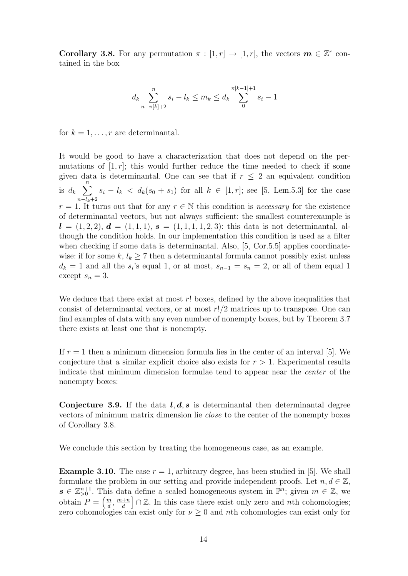**Corollary 3.8.** For any permutation  $\pi : [1, r] \to [1, r]$ , the vectors  $m \in \mathbb{Z}^r$  contained in the box

$$
d_k \sum_{n-\pi[k]+2}^{n} s_i - l_k \le m_k \le d_k \sum_{0}^{\pi[k-1]+1} s_i - 1
$$

for  $k = 1, \ldots, r$  are determinantal.

It would be good to have a characterization that does not depend on the permutations of  $[1, r]$ ; this would further reduce the time needed to check if some given data is determinantal. One can see that if  $r \leq 2$  an equivalent condition is  $d_k$   $\sum_{k=1}^{n}$  $n-l_k+2$  $s_i - l_k < d_k(s_0 + s_1)$  for all  $k \in [1, r]$ ; see [5, Lem.5.3] for the case  $r = 1$ . It turns out that for any  $r \in \mathbb{N}$  this condition is *necessary* for the existence of determinantal vectors, but not always sufficient: the smallest counterexample is  $l = (1, 2, 2), d = (1, 1, 1), s = (1, 1, 1, 1, 2, 3)$ : this data is not determinantal, although the condition holds. In our implementation this condition is used as a filter when checking if some data is determinantal. Also, [5, Cor.5.5] applies coordinatewise: if for some k,  $l_k \geq 7$  then a determinantal formula cannot possibly exist unless  $d_k = 1$  and all the  $s_i$ 's equal 1, or at most,  $s_{n-1} = s_n = 2$ , or all of them equal 1 except  $s_n = 3$ .

We deduce that there exist at most r! boxes, defined by the above inequalities that consist of determinantal vectors, or at most  $r!/2$  matrices up to transpose. One can find examples of data with any even number of nonempty boxes, but by Theorem 3.7 there exists at least one that is nonempty.

If  $r = 1$  then a minimum dimension formula lies in the center of an interval [5]. We conjecture that a similar explicit choice also exists for  $r > 1$ . Experimental results indicate that minimum dimension formulae tend to appear near the center of the nonempty boxes:

Conjecture 3.9. If the data  $l, d, s$  is determinantal then determinantal degree vectors of minimum matrix dimension lie close to the center of the nonempty boxes of Corollary 3.8.

We conclude this section by treating the homogeneous case, as an example.

**Example 3.10.** The case  $r = 1$ , arbitrary degree, has been studied in [5]. We shall formulate the problem in our setting and provide independent proofs. Let  $n, d \in \mathbb{Z}$ ,  $s \in \mathbb{Z}_{\geq 0}^{n+1}$ . This data define a scaled homogeneous system in  $\mathbb{P}^n$ ; given  $m \in \mathbb{Z}$ , we obtain  $P = \left(\frac{m}{d}\right)$  $\frac{m}{d}$ ,  $\frac{m+n}{d}$ d  $\bigcap_{n=1}^{\infty} \mathbb{Z}$ . In this case there exist only zero and nth cohomologies; zero cohomologies can exist only for  $\nu \geq 0$  and nth cohomologies can exist only for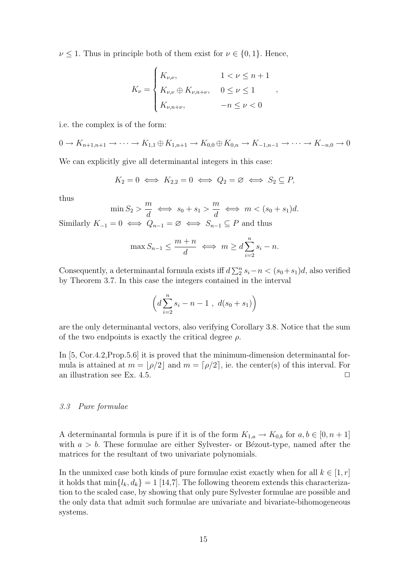$\nu \leq 1$ . Thus in principle both of them exist for  $\nu \in \{0, 1\}$ . Hence,

$$
K_{\nu} = \begin{cases} K_{\nu,\nu}, & 1 < \nu \le n+1 \\ K_{\nu,\nu} \oplus K_{\nu,n+\nu}, & 0 \le \nu \le 1 \\ K_{\nu,n+\nu}, & -n \le \nu < 0 \end{cases}
$$

,

i.e. the complex is of the form:

$$
0 \to K_{n+1,n+1} \to \cdots \to K_{1,1} \oplus K_{1,n+1} \to K_{0,0} \oplus K_{0,n} \to K_{-1,n-1} \to \cdots \to K_{-n,0} \to 0
$$

We can explicitly give all determinantal integers in this case:

$$
K_2 = 0 \iff K_{2,2} = 0 \iff Q_2 = \varnothing \iff S_2 \subseteq P,
$$

thus

$$
\min S_2 > \frac{m}{d} \iff s_0 + s_1 > \frac{m}{d} \iff m < (s_0 + s_1)d.
$$
\nSimilarly  $K_{-1} = 0 \iff Q_{n-1} = \emptyset \iff S_{n-1} \subseteq P$  and thus

$$
\max S_{n-1} \le \frac{m+n}{d} \iff m \ge d \sum_{i=2}^{n} s_i - n.
$$

Consequently, a determinantal formula exists iff  $d\sum_{i=1}^{n} s_i - n < (s_0 + s_1)d$ , also verified by Theorem 3.7. In this case the integers contained in the interval

$$
\left(d\sum_{i=2}^{n} s_i - n - 1 \;,\; d(s_0 + s_1)\right)
$$

are the only determinantal vectors, also verifying Corollary 3.8. Notice that the sum of the two endpoints is exactly the critical degree  $\rho$ .

In [5, Cor.4.2, Prop.5.6] it is proved that the minimum-dimension determinantal formula is attained at  $m = |\rho/2|$  and  $m = [\rho/2]$ , ie. the center(s) of this interval. For an illustration see Ex. 4.5.  $\Box$ 

## 3.3 Pure formulae

A determinantal formula is pure if it is of the form  $K_{1,a} \to K_{0,b}$  for  $a, b \in [0, n+1]$ with  $a > b$ . These formulae are either Sylvester- or Bézout-type, named after the matrices for the resultant of two univariate polynomials.

In the unmixed case both kinds of pure formulae exist exactly when for all  $k \in [1, r]$ it holds that  $\min\{l_k, d_k\} = 1$  [14,7]. The following theorem extends this characterization to the scaled case, by showing that only pure Sylvester formulae are possible and the only data that admit such formulae are univariate and bivariate-bihomogeneous systems.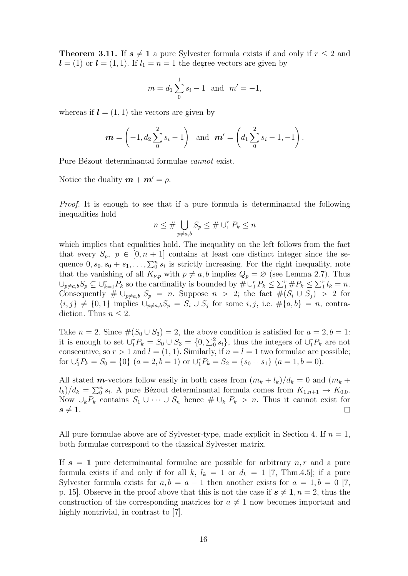**Theorem 3.11.** If  $s \neq 1$  a pure Sylvester formula exists if and only if  $r \leq 2$  and  $\mathbf{l} = (1)$  or  $\mathbf{l} = (1, 1)$ . If  $l_1 = n = 1$  the degree vectors are given by

$$
m = d_1 \sum_{0}^{1} s_i - 1
$$
 and  $m' = -1$ ,

whereas if  $\mathbf{l} = (1, 1)$  the vectors are given by

$$
\mathbf{m} = \left(-1, d_2 \sum_{0}^{2} s_i - 1\right) \text{ and } \mathbf{m}' = \left(d_1 \sum_{0}^{2} s_i - 1, -1\right).
$$

Pure Bézout determinantal formulae *cannot* exist.

Notice the duality  $m + m' = \rho$ .

Proof. It is enough to see that if a pure formula is determinantal the following inequalities hold

$$
n \le \# \bigcup_{p \ne a,b} S_p \le \# \cup_1^r P_k \le n
$$

which implies that equalities hold. The inequality on the left follows from the fact that every  $S_p$ ,  $p \in [0, n+1]$  contains at least one distinct integer since the sequence  $0, s_0, s_0 + s_1, \ldots, \sum_0^n s_i$  is strictly increasing. For the right inequality, note that the vanishing of all  $K_{\nu,p}$  with  $p \neq a, b$  implies  $Q_p = \varnothing$  (see Lemma 2.7). Thus  $\bigcup_{p\neq a,b} S_p \subseteq \bigcup_{k=1}^r P_k$  so the cardinality is bounded by  $\# \bigcup_{i=1}^r P_k \leq \sum_{i=1}^r \# P_k \leq \sum_{i=1}^r l_k = n$ . Consequently  $\#\cup_{p\neq a,b} S_p = n$ . Suppose  $n > 2$ ; the fact  $\#(S_i \cup S_j) > 2$  for  ${i, j} \neq \{0, 1\}$  implies  $\bigcup_{p \neq a,b} S_p = S_i \cup S_j$  for some  $i, j$ , i.e.  $\#\{a, b\} = n$ , contradiction. Thus  $n \leq 2$ .

Take  $n = 2$ . Since  $\#(S_0 \cup S_3) = 2$ , the above condition is satisfied for  $a = 2, b = 1$ : it is enough to set  $\cup_1^r P_k = S_0 \cup S_3 = \{0, \sum_0^2 s_i\}$ , thus the integers of  $\cup_1^r P_k$  are not consecutive, so  $r > 1$  and  $l = (1, 1)$ . Similarly, if  $n = l = 1$  two formulae are possible; for  $\bigcup_{1}^{r} P_{k} = S_{0} = \{0\}$   $(a = 2, b = 1)$  or  $\bigcup_{1}^{r} P_{k} = S_{2} = \{s_{0} + s_{1}\}$   $(a = 1, b = 0)$ .

All stated **m**-vectors follow easily in both cases from  $(m_k + l_k)/d_k = 0$  and  $(m_k + l_k)/d_k = 0$  $(l_k)/d_k = \sum_0^n s_i$ . A pure Bézout determinantal formula comes from  $K_{1,n+1} \to K_{0,0}$ . Now  $\cup_k P_k$  contains  $S_1 \cup \cdots \cup S_n$  hence  $\# \cup_k P_k > n$ . Thus it cannot exist for  $s \neq 1$ .  $\Box$ 

All pure formulae above are of Sylvester-type, made explicit in Section 4. If  $n = 1$ , both formulae correspond to the classical Sylvester matrix.

If  $s = 1$  pure determinantal formulae are possible for arbitrary  $n, r$  and a pure formula exists if and only if for all k,  $l_k = 1$  or  $d_k = 1$  [7, Thm.4.5]; if a pure Sylvester formula exists for  $a, b = a - 1$  then another exists for  $a = 1, b = 0$  [7, p. 15. Observe in the proof above that this is not the case if  $s \neq 1, n = 2$ , thus the construction of the corresponding matrices for  $a \neq 1$  now becomes important and highly nontrivial, in contrast to [7].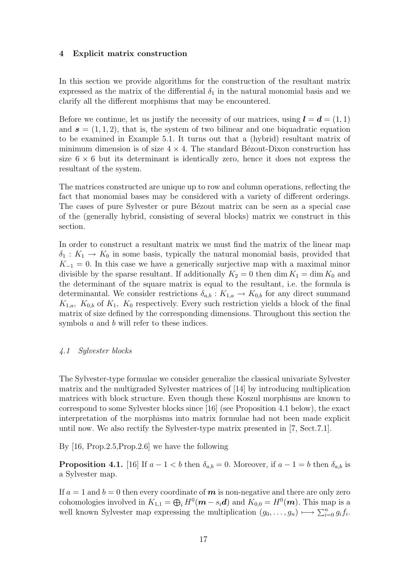## 4 Explicit matrix construction

In this section we provide algorithms for the construction of the resultant matrix expressed as the matrix of the differential  $\delta_1$  in the natural monomial basis and we clarify all the different morphisms that may be encountered.

Before we continue, let us justify the necessity of our matrices, using  $\mathbf{l} = \mathbf{d} = (1, 1)$ and  $s = (1, 1, 2)$ , that is, the system of two bilinear and one biquadratic equation to be examined in Example 5.1. It turns out that a (hybrid) resultant matrix of minimum dimension is of size  $4 \times 4$ . The standard Bézout-Dixon construction has size  $6 \times 6$  but its determinant is identically zero, hence it does not express the resultant of the system.

The matrices constructed are unique up to row and column operations, reflecting the fact that monomial bases may be considered with a variety of different orderings. The cases of pure Sylvester or pure Bézout matrix can be seen as a special case of the (generally hybrid, consisting of several blocks) matrix we construct in this section.

In order to construct a resultant matrix we must find the matrix of the linear map  $\delta_1: K_1 \to K_0$  in some basis, typically the natural monomial basis, provided that  $K_{-1} = 0$ . In this case we have a generically surjective map with a maximal minor divisible by the sparse resultant. If additionally  $K_2 = 0$  then dim  $K_1 = \dim K_0$  and the determinant of the square matrix is equal to the resultant, i.e. the formula is determinantal. We consider restrictions  $\delta_{a,b}: K_{1,a} \to K_{0,b}$  for any direct summand  $K_{1,a}$ ,  $K_{0,b}$  of  $K_1$ ,  $K_0$  respectively. Every such restriction yields a block of the final matrix of size defined by the corresponding dimensions. Throughout this section the symbols a and b will refer to these indices.

## 4.1 Sylvester blocks

The Sylvester-type formulae we consider generalize the classical univariate Sylvester matrix and the multigraded Sylvester matrices of [14] by introducing multiplication matrices with block structure. Even though these Koszul morphisms are known to correspond to some Sylvester blocks since [16] (see Proposition 4.1 below), the exact interpretation of the morphisms into matrix formulae had not been made explicit until now. We also rectify the Sylvester-type matrix presented in [7, Sect.7.1].

By [16, Prop.2.5,Prop.2.6] we have the following

**Proposition 4.1.** [16] If  $a - 1 < b$  then  $\delta_{a,b} = 0$ . Moreover, if  $a - 1 = b$  then  $\delta_{a,b}$  is a Sylvester map.

If  $a = 1$  and  $b = 0$  then every coordinate of m is non-negative and there are only zero cohomologies involved in  $K_{1,1} = \bigoplus_i H^0(\mathbf{m} - s_i \mathbf{d})$  and  $K_{0,0} = H^0(\mathbf{m})$ . This map is a well known Sylvester map expressing the multiplication  $(g_0, \ldots, g_n) \mapsto \sum_{i=0}^n g_i f_i$ .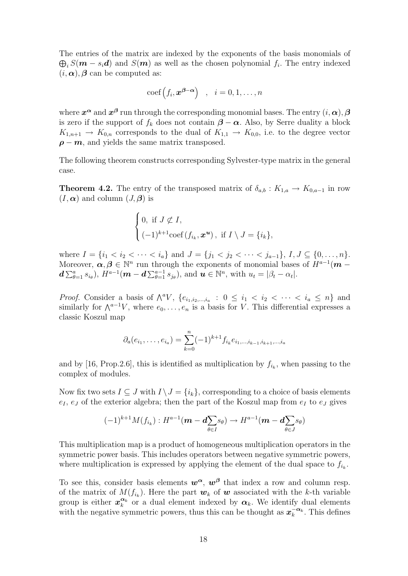The entries of the matrix are indexed by the exponents of the basis monomials of  $\bigoplus_i S(m - s_i d)$  and  $S(m)$  as well as the chosen polynomial  $f_i$ . The entry indexed  $(i, \alpha)$ ,  $\beta$  can be computed as:

$$
\mathrm{coef}\left(f_i, \boldsymbol{x}^{\boldsymbol{\beta}-\boldsymbol{\alpha}}\right) \quad , \quad i=0,1,\ldots,n
$$

where  $x^{\alpha}$  and  $x^{\beta}$  run through the corresponding monomial bases. The entry  $(i, \alpha)$ ,  $\beta$ is zero if the support of  $f_k$  does not contain  $\beta - \alpha$ . Also, by Serre duality a block  $K_{1,n+1} \rightarrow K_{0,n}$  corresponds to the dual of  $K_{1,1} \rightarrow K_{0,0}$ , i.e. to the degree vector  $\rho - m$ , and yields the same matrix transposed.

The following theorem constructs corresponding Sylvester-type matrix in the general case.

**Theorem 4.2.** The entry of the transposed matrix of  $\delta_{a,b}: K_{1,a} \to K_{0,a-1}$  in row  $(I, \alpha)$  and column  $(J, \beta)$  is

$$
\begin{cases}\n0, \text{ if } J \not\subset I, \\
(-1)^{k+1}\text{coef}(f_{i_k}, \boldsymbol{x}^{\boldsymbol{u}}), \text{ if } I \setminus J = \{i_k\},\n\end{cases}
$$

where  $I = \{i_1 < i_2 < \cdots < i_a\}$  and  $J = \{j_1 < j_2 < \cdots < j_{a-1}\}, I, J \subseteq \{0, \ldots, n\}.$ Moreover,  $\alpha, \beta \in \mathbb{N}^n$  run through the exponents of monomial bases of  $H^{a-1}(m$  $d \sum_{\theta=1}^a s_{i_\theta}$ ),  $H^{a-1}$  $(m - d \sum_{\theta=1}^{a-1} s_{j_\theta})$ , and  $u \in \mathbb{N}^n$ , with  $u_t = |\beta_t - \alpha_t|$ .

*Proof.* Consider a basis of  $\bigwedge^a V$ ,  $\{e_{i_1,i_2,...,i_a} : 0 \leq i_1 < i_2 < \cdots < i_a \leq n\}$  and similarly for  $\wedge^{a-1}V$ , where  $e_0, \ldots, e_n$  is a basis for V. This differential expresses a classic Koszul map

$$
\partial_a(e_{i_1},\ldots,e_{i_a})=\sum_{k=0}^n (-1)^{k+1} f_{i_k}e_{i_1,\ldots,i_{k-1},i_{k+1},\ldots,i_a}
$$

and by [16, Prop. 2.6], this is identified as multiplication by  $f_{i_k}$ , when passing to the complex of modules.

Now fix two sets  $I \subseteq J$  with  $I \setminus J = \{i_k\}$ , corresponding to a choice of basis elements  $e_I, e_J$  of the exterior algebra; then the part of the Koszul map from  $e_I$  to  $e_J$  gives

$$
(-1)^{k+1}M(f_{i_k}):H^{a-1}(\boldsymbol{m}-\boldsymbol{d\sum_{\theta\in I}}s_{\theta})\to H^{a-1}(\boldsymbol{m}-\boldsymbol{d\sum_{\theta\in J}}s_{\theta})
$$

This multiplication map is a product of homogeneous multiplication operators in the symmetric power basis. This includes operators between negative symmetric powers, where multiplication is expressed by applying the element of the dual space to  $f_{i_k}$ .

To see this, consider basis elements  $w^{\alpha}$ ,  $w^{\beta}$  that index a row and column resp. of the matrix of  $M(f_{i_k})$ . Here the part  $w_k$  of  $w$  associated with the k-th variable group is either  $x_k^{\alpha_k}$  or a dual element indexed by  $\alpha_k$ . We identify dual elements with the negative symmetric powers, thus this can be thought as  $x_k^{-\alpha_k}$ . This defines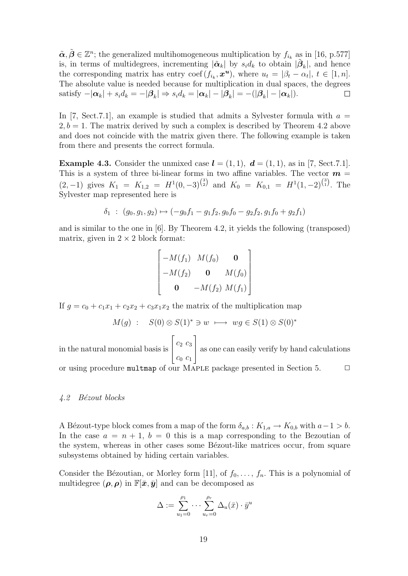$\tilde{\boldsymbol{\alpha}}, \tilde{\boldsymbol{\beta}} \in \mathbb{Z}^n$ ; the generalized multihomogeneous multiplication by  $f_{i_k}$  as in [16, p.577] is, in terms of multidegrees, incrementing  $|\tilde{\boldsymbol{\alpha}}_k|$  by  $s_i d_k$  to obtain  $|\tilde{\boldsymbol{\beta}}_k|$ , and hence the corresponding matrix has entry coef  $(f_{i_k}, \mathbf{x}^u)$ , where  $u_t = |\beta_t - \alpha_t|, t \in [1, n]$ . The absolute value is needed because for multiplication in dual spaces, the degrees satisfy  $-|\boldsymbol{\alpha}_k| + s_i d_k = -|\boldsymbol{\beta}_k| \Rightarrow s_i d_k = |\boldsymbol{\alpha}_k| - |\boldsymbol{\beta}_k| = -(|\boldsymbol{\beta}_k| - |\boldsymbol{\alpha}_k|).$  $\Box$ 

In [7, Sect. 7.1], an example is studied that admits a Sylvester formula with  $a =$  $2, b = 1$ . The matrix derived by such a complex is described by Theorem 4.2 above and does not coincide with the matrix given there. The following example is taken from there and presents the correct formula.

**Example 4.3.** Consider the unmixed case  $\mathbf{l} = (1, 1), \mathbf{d} = (1, 1),$  as in [7, Sect.7.1]. This is a system of three bi-linear forms in two affine variables. The vector  $m =$  $(2,-1)$  gives  $K_1 = K_{1,2} = H^1(0,-3)^{3 \choose 2}$  and  $K_0 = K_{0,1} = H^1(1,-2)^{3 \choose 1}$ . The Sylvester map represented here is

$$
\delta_1 : (g_0, g_1, g_2) \mapsto (-g_0 f_1 - g_1 f_2, g_0 f_0 - g_2 f_2, g_1 f_0 + g_2 f_1)
$$

and is similar to the one in [6]. By Theorem 4.2, it yields the following (transposed) matrix, given in  $2 \times 2$  block format:

$$
\begin{bmatrix}\n-M(f_1) & M(f_0) & \mathbf{0} \\
-M(f_2) & \mathbf{0} & M(f_0) \\
\mathbf{0} & -M(f_2) & M(f_1)\n\end{bmatrix}
$$

If  $g = c_0 + c_1x_1 + c_2x_2 + c_3x_1x_2$  the matrix of the multiplication map

$$
M(g) : S(0) \otimes S(1)^* \ni w \longmapsto wg \in S(1) \otimes S(0)^*
$$

in the natural monomial basis is  $\lceil$  $\vert$  $c_2$   $c_3$  $c_0$   $c_1$ 1 as one can easily verify by hand calculations

or using procedure multmap of our MAPLE package presented in Section 5.  $\Box$ 

#### 4.2 Bézout blocks

A Bézout-type block comes from a map of the form  $\delta_{a,b} : K_{1,a} \to K_{0,b}$  with  $a-1 > b$ . In the case  $a = n + 1$ ,  $b = 0$  this is a map corresponding to the Bezoutian of the system, whereas in other cases some Bézout-like matrices occur, from square subsystems obtained by hiding certain variables.

Consider the Bézoutian, or Morley form [11], of  $f_0, \ldots, f_n$ . This is a polynomial of multidegree  $(\rho, \rho)$  in  $\mathbb{F}[\bar{x}, \bar{y}]$  and can be decomposed as

$$
\Delta := \sum_{u_1=0}^{\rho_1} \cdots \sum_{u_r=0}^{\rho_r} \Delta_u(\bar{x}) \cdot \bar{y}^u
$$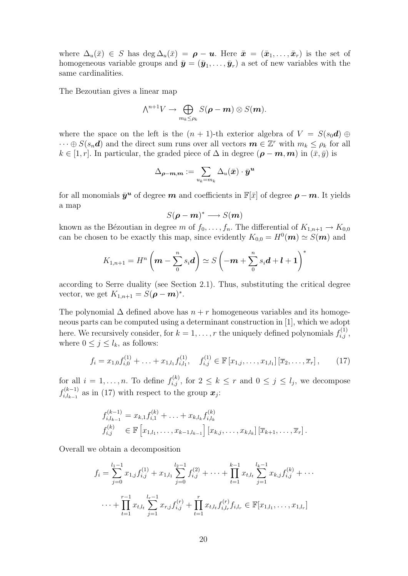where  $\Delta_u(\bar{x}) \in S$  has  $\deg \Delta_u(\bar{x}) = \rho - u$ . Here  $\bar{x} = (\bar{x}_1, \ldots, \bar{x}_r)$  is the set of homogeneous variable groups and  $\bar{\mathbf{y}} = (\bar{y}_1, \ldots, \bar{y}_r)$  a set of new variables with the same cardinalities.

The Bezoutian gives a linear map

$$
\wedge^{n+1}V \to \bigoplus_{m_k \leq \rho_k} S(\boldsymbol{\rho} - \boldsymbol{m}) \otimes S(\boldsymbol{m}).
$$

where the space on the left is the  $(n + 1)$ -th exterior algebra of  $V = S(s_0\boldsymbol{d}) \oplus$  $\cdots \oplus S(s_n d)$  and the direct sum runs over all vectors  $\boldsymbol{m} \in \mathbb{Z}^r$  with  $m_k \leq \rho_k$  for all  $k \in [1, r]$ . In particular, the graded piece of  $\Delta$  in degree  $(\rho - m, m)$  in  $(\bar{x}, \bar{y})$  is

$$
\Delta_{\boldsymbol{\rho}-\boldsymbol{m},\boldsymbol{m}}:=\sum_{u_k=m_k}\Delta_u(\bar{\boldsymbol{x}})\cdot\bar{\boldsymbol{y}}^{\boldsymbol{u}}
$$

for all monomials  $\bar{\mathbf{y}}^{\mathbf{u}}$  of degree  $\mathbf{m}$  and coefficients in  $\mathbb{F}[\bar{x}]$  of degree  $\mathbf{\rho} - \mathbf{m}$ . It yields a map

$$
S(\rho - m)^* \longrightarrow S(m)
$$

known as the Bézoutian in degree m of  $f_0, \ldots, f_n$ . The differential of  $K_{1,n+1} \to K_{0,0}$ can be chosen to be exactly this map, since evidently  $K_{0,0} = H^0(\mathbf{m}) \simeq S(\mathbf{m})$  and

$$
K_{1,n+1} = H^n \left( \mathbf{m} - \sum_{0}^{n} s_i \mathbf{d} \right) \simeq S \left( -\mathbf{m} + \sum_{0}^{n} s_i \mathbf{d} + \mathbf{l} + \mathbf{1} \right)^*
$$

according to Serre duality (see Section 2.1). Thus, substituting the critical degree vector, we get  $K_{1,n+1} = S(\boldsymbol{\rho} - \boldsymbol{m})^*$ .

The polynomial  $\Delta$  defined above has  $n + r$  homogeneous variables and its homogeneous parts can be computed using a determinant construction in [1], which we adopt here. We recursively consider, for  $k = 1, \ldots, r$  the uniquely defined polynomials  $f_{i,j}^{(1)}$ , where  $0 \leq j \leq l_k$ , as follows:

$$
f_i = x_{1,0} f_{i,0}^{(1)} + \ldots + x_{1,l_1} f_{i,l_1}^{(1)}, \quad f_{i,j}^{(1)} \in \mathbb{F} \left[ x_{1,j}, \ldots, x_{1,l_1} \right] \left[ \overline{x}_2, \ldots, \overline{x}_r \right], \tag{17}
$$

for all  $i = 1, \ldots, n$ . To define  $f_{i,j}^{(k)}$ , for  $2 \le k \le r$  and  $0 \le j \le l_j$ , we decompose  $f_{i,l}^{(k-1)}$  $i_{i,l_{k-1}}^{(k-1)}$  as in (17) with respect to the group  $x_j$ :

$$
f_{i,l_{k-1}}^{(k-1)} = x_{k,1} f_{i,1}^{(k)} + \ldots + x_{k,l_k} f_{i,l_k}^{(k)}
$$
  

$$
f_{i,j}^{(k)} \in \mathbb{F} \left[ x_{1,l_1}, \ldots, x_{k-1,l_{k-1}} \right] \left[ x_{k,j}, \ldots, x_{k,l_k} \right] \left[ \overline{x}_{k+1}, \ldots, \overline{x}_r \right].
$$

Overall we obtain a decomposition

$$
f_i = \sum_{j=0}^{l_1-1} x_{1,j} f_{i,j}^{(1)} + x_{1,l_1} \sum_{j=0}^{l_2-1} f_{i,j}^{(2)} + \dots + \prod_{t=1}^{k-1} x_{t,l_t} \sum_{j=1}^{l_k-1} x_{k,j} f_{i,j}^{(k)} + \dots
$$
  

$$
\dots + \prod_{t=1}^{r-1} x_{t,l_t} \sum_{j=1}^{l_r-1} x_{r,j} f_{i,j}^{(r)} + \prod_{t=1}^r x_{t,l_t} f_{i,l_r}^{(r)} f_{i,l_r} \in \mathbb{F}[x_{1,l_1}, \dots, x_{1,l_r}]
$$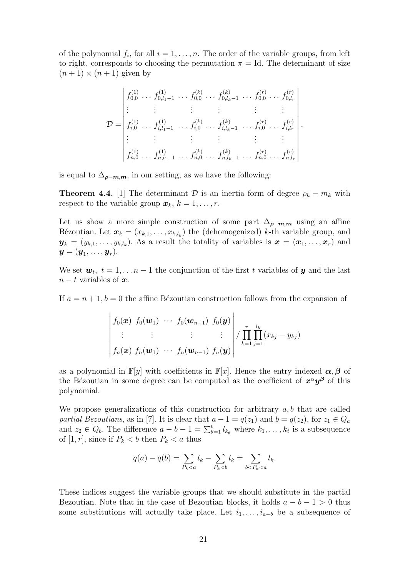of the polynomial  $f_i$ , for all  $i = 1, \ldots, n$ . The order of the variable groups, from left to right, corresponds to choosing the permutation  $\pi = Id$ . The determinant of size  $(n+1) \times (n+1)$  given by

$$
\mathcal{D} = \begin{vmatrix} f_{0,0}^{(1)} & \dots & f_{0,l_1-1}^{(k)} & \dots & f_{0,l_k-1}^{(k)} & \dots & f_{0,0}^{(r)} & \dots & f_{0,l_r}^{(r)} \\ \vdots & \vdots & \vdots & \vdots & \vdots & \vdots & \vdots \\ f_{i,0}^{(1)} & \dots & f_{i,l_1-1}^{(1)} & \dots & f_{i,0}^{(k)} & \dots & f_{i,l_k-1}^{(r)} & \dots & f_{i,l_r}^{(r)} \\ \vdots & \vdots & \vdots & \vdots & \vdots & \vdots & \vdots \\ f_{n,0}^{(1)} & \dots & f_{n,l_1-1}^{(1)} & \dots & f_{n,0}^{(k)} & \dots & f_{n,l_k-1}^{(r)} & \dots & f_{n,l_r}^{(r)} \end{vmatrix},
$$

is equal to  $\Delta_{\rho-m,m}$ , in our setting, as we have the following:

**Theorem 4.4.** [1] The determinant  $\mathcal{D}$  is an inertia form of degree  $\rho_k - m_k$  with respect to the variable group  $\mathbf{x}_k$ ,  $k = 1, \ldots, r$ .

Let us show a more simple construction of some part  $\Delta_{\rho-m,m}$  using an affine Bézoutian. Let  $\boldsymbol{x}_k = (x_{k,1}, \ldots, x_{k,l_k})$  the (dehomogenized) k-th variable group, and  $\mathbf{y}_k = (y_{k,1}, \ldots, y_{k,l_k})$ . As a result the totality of variables is  $\mathbf{x} = (\mathbf{x}_1, \ldots, \mathbf{x}_r)$  and  $\boldsymbol{y} = (\boldsymbol{y}_1, \dots, \boldsymbol{y}_r).$ 

We set  $\mathbf{w}_t$ ,  $t = 1, \ldots n-1$  the conjunction of the first t variables of  $\mathbf{y}$  and the last  $n - t$  variables of  $x$ .

If  $a = n + 1, b = 0$  the affine Bézoutian construction follows from the expansion of

$$
\begin{vmatrix} f_0(\boldsymbol{x}) & f_0(\boldsymbol{w}_1) & \cdots & f_0(\boldsymbol{w}_{n-1}) & f_0(\boldsymbol{y}) \\ \vdots & \vdots & & \vdots & \vdots \\ f_n(\boldsymbol{x}) & f_n(\boldsymbol{w}_1) & \cdots & f_n(\boldsymbol{w}_{n-1}) & f_n(\boldsymbol{y}) \end{vmatrix} / \prod_{k=1}^r \prod_{j=1}^{l_k} (x_{kj} - y_{kj})
$$

as a polynomial in  $\mathbb{F}[y]$  with coefficients in  $\mathbb{F}[x]$ . Hence the entry indexed  $\alpha, \beta$  of the Bézoutian in some degree can be computed as the coefficient of  $x^{\alpha}y^{\beta}$  of this polynomial.

We propose generalizations of this construction for arbitrary  $a, b$  that are called partial Bezoutians, as in [7]. It is clear that  $a - 1 = q(z_1)$  and  $b = q(z_2)$ , for  $z_1 \in Q_a$ and  $z_2 \in Q_b$ . The difference  $a - b - 1 = \sum_{\theta=1}^t l_{k_\theta}$  where  $k_1, \ldots, k_t$  is a subsequence of [1, r], since if  $P_k < b$  then  $P_k < a$  thus

$$
q(a) - q(b) = \sum_{P_k < a} l_k - \sum_{P_k < b} l_k = \sum_{b < P_k < a} l_k.
$$

These indices suggest the variable groups that we should substitute in the partial Bezoutian. Note that in the case of Bezoutian blocks, it holds  $a - b - 1 > 0$  thus some substitutions will actually take place. Let  $i_1, \ldots, i_{a-b}$  be a subsequence of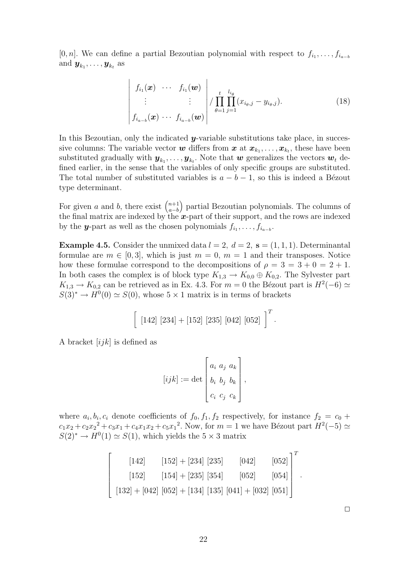[0, n]. We can define a partial Bezoutian polynomial with respect to  $f_{i_1}, \ldots, f_{i_{a-b}}$ and  $\boldsymbol{y}_{k_1}, \ldots, \boldsymbol{y}_{k_t}$  as

$$
\begin{vmatrix}\nf_{i_1}(\boldsymbol{x}) & \cdots & f_{i_1}(\boldsymbol{w}) \\
\vdots & & \vdots \\
f_{i_{a-b}}(\boldsymbol{x}) & \cdots & f_{i_{a-b}}(\boldsymbol{w})\n\end{vmatrix}\n\Bigg| \frac{t}{\theta = 1} \prod_{j=1}^{l_{i_{\theta}}} (x_{i_{\theta},j} - y_{i_{\theta},j}).
$$
\n(18)

In this Bezoutian, only the indicated  $y$ -variable substitutions take place, in successive columns: The variable vector  $w$  differs from  $x$  at  $x_{k_1}, \ldots, x_{k_t}$ , these have been substituted gradually with  $\bm{y}_{k_1}, \ldots, \bm{y}_{k_t}$ . Note that  $\bm{w}$  generalizes the vectors  $\bm{w}_t$  defined earlier, in the sense that the variables of only specific groups are substituted. The total number of substituted variables is  $a - b - 1$ , so this is indeed a Bézout type determinant.

For given a and b, there exist  $\binom{n+1}{a-b}$ a−b partial Bezoutian polynomials. The columns of the final matrix are indexed by the  $x$ -part of their support, and the rows are indexed by the **y**-part as well as the chosen polynomials  $f_{i_1}, \ldots, f_{i_{a-b}}$ .

**Example 4.5.** Consider the unmixed data  $l = 2$ ,  $d = 2$ ,  $s = (1, 1, 1)$ . Determinantal formulae are  $m \in [0, 3]$ , which is just  $m = 0$ ,  $m = 1$  and their transposes. Notice how these formulae correspond to the decompositions of  $\rho = 3 = 3 + 0 = 2 + 1$ . In both cases the complex is of block type  $K_{1,3} \to K_{0,0} \oplus K_{0,2}$ . The Sylvester part  $K_{1,3} \to K_{0,2}$  can be retrieved as in Ex. 4.3. For  $m=0$  the Bézout part is  $H^2(-6) \simeq$  $S(3)^* \to H^0(0) \simeq S(0)$ , whose  $5 \times 1$  matrix is in terms of brackets

$$
\left[ \begin{array}{c} [142] [234] + [152] [235] [042] [052] \end{array} \right]^T.
$$

A bracket  $[ijk]$  is defined as

$$
[ijk] := \det \begin{bmatrix} a_i & a_j & a_k \\ b_i & b_j & b_k \\ c_i & c_j & c_k \end{bmatrix},
$$

where  $a_i, b_i, c_i$  denote coefficients of  $f_0, f_1, f_2$  respectively, for instance  $f_2 = c_0 +$  $c_1x_2 + c_2x_2^2 + c_3x_1 + c_4x_1x_2 + c_5x_1^2$ . Now, for  $m = 1$  we have Bézout part  $H^2(-5) \simeq$  $S(2)^* \to H^0(1) \simeq S(1)$ , which yields the  $5 \times 3$  matrix

$$
\begin{bmatrix} [142] & [152] + [234] [235] & [042] & [052] \ [152] & [154] + [235] [354] & [052] & [054] \ [132] + [042] [052] + [134] [135] [041] + [032] [051] \end{bmatrix}^{T}
$$

 $\Box$ 

.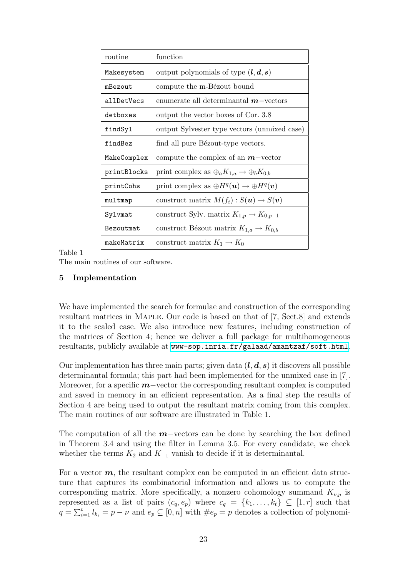| routine     | function                                                 |
|-------------|----------------------------------------------------------|
| Makesystem  | output polynomials of type $(l, d, s)$                   |
| mBezout     | compute the m-Bézout bound                               |
| allDetVecs  | enumerate all determinantal $m$ -vectors                 |
| detboxes    | output the vector boxes of Cor. 3.8                      |
| findSyl     | output Sylvester type vectors (unmixed case)             |
| findBez     | find all pure Bézout-type vectors.                       |
| MakeComplex | compute the complex of an $m$ -vector                    |
| printBlocks | print complex as $\oplus_a K_{1,a} \to \oplus_b K_{0,b}$ |
| printCohs   | print complex as $\oplus H^q(u) \to \oplus H^q(v)$       |
| multmap     | construct matrix $M(f_i): S(u) \to S(v)$                 |
| Sylvmat     | construct Sylv. matrix $K_{1,p} \to K_{0,p-1}$           |
| Bezoutmat   | construct Bézout matrix $K_{1,a} \to K_{0,b}$            |
| makeMatrix  | construct matrix $K_1 \rightarrow K_0$                   |

Table 1

The main routines of our software.

## 5 Implementation

We have implemented the search for formulae and construction of the corresponding resultant matrices in Maple. Our code is based on that of [7, Sect.8] and extends it to the scaled case. We also introduce new features, including construction of the matrices of Section 4; hence we deliver a full package for multihomogeneous resultants, publicly available at [www-sop.inria.fr/galaad/amantzaf/soft.html](http://www-sop.inria.fr/galaad/amantzaf/soft.html).

Our implementation has three main parts; given data  $(l, d, s)$  it discovers all possible determinantal formula; this part had been implemented for the unmixed case in [7]. Moreover, for a specific  $m$ –vector the corresponding resultant complex is computed and saved in memory in an efficient representation. As a final step the results of Section 4 are being used to output the resultant matrix coming from this complex. The main routines of our software are illustrated in Table 1.

The computation of all the  $m$ –vectors can be done by searching the box defined in Theorem 3.4 and using the filter in Lemma 3.5. For every candidate, we check whether the terms  $K_2$  and  $K_{-1}$  vanish to decide if it is determinantal.

For a vector  $m$ , the resultant complex can be computed in an efficient data structure that captures its combinatorial information and allows us to compute the corresponding matrix. More specifically, a nonzero cohomology summand  $K_{\nu,p}$  is represented as a list of pairs  $(c_q, e_p)$  where  $c_q = \{k_1, \ldots, k_t\} \subseteq [1, r]$  such that  $q = \sum_{i=1}^{t} l_{k_i} = p - \nu$  and  $e_p \subseteq [0, n]$  with  $\#e_p = p$  denotes a collection of polynomi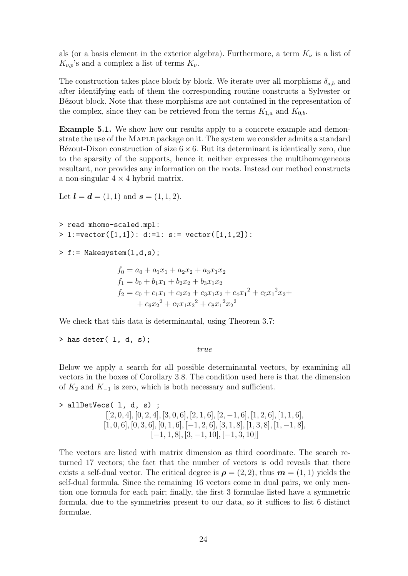als (or a basis element in the exterior algebra). Furthermore, a term  $K_{\nu}$  is a list of  $K_{\nu,p}$ 's and a complex a list of terms  $K_{\nu}$ .

The construction takes place block by block. We iterate over all morphisms  $\delta_{a,b}$  and after identifying each of them the corresponding routine constructs a Sylvester or Bézout block. Note that these morphisms are not contained in the representation of the complex, since they can be retrieved from the terms  $K_{1,a}$  and  $K_{0,b}$ .

Example 5.1. We show how our results apply to a concrete example and demonstrate the use of the Maple package on it. The system we consider admits a standard Bézout-Dixon construction of size  $6 \times 6$ . But its determinant is identically zero, due to the sparsity of the supports, hence it neither expresses the multihomogeneous resultant, nor provides any information on the roots. Instead our method constructs a non-singular  $4 \times 4$  hybrid matrix.

```
Let \bm{l} = \bm{d} = (1, 1) and \bm{s} = (1, 1, 2).
```

```
> read mhomo-scaled.mpl:
> 1:=vector([1,1]): d:=1: s:= vector([1,1,2]):
```

```
> f := Makesystem(1,d,s);
```

```
f_0 = a_0 + a_1x_1 + a_2x_2 + a_3x_1x_2f_1 = b_0 + b_1x_1 + b_2x_2 + b_3x_1x_2f_2 = c_0 + c_1x_1 + c_2x_2 + c_3x_1x_2 + c_4x_1^2 + c_5x_1^2x_2 ++ c_6x_2^2 + c_7x_1x_2^2 + c_8x_1^2x_2^2
```
We check that this data is determinantal, using Theorem 3.7:

```
> has_deter( 1, d, s);
```
true

Below we apply a search for all possible determinantal vectors, by examining all vectors in the boxes of Corollary 3.8. The condition used here is that the dimension of  $K_2$  and  $K_{-1}$  is zero, which is both necessary and sufficient.

```
> allDetVecs( l, d, s) ;
                [2, 0, 4], [0, 2, 4], [3, 0, 6], [2, 1, 6], [2, -1, 6], [1, 2, 6], [1, 1, 6],[1, 0, 6], [0, 3, 6], [0, 1, 6], [-1, 2, 6], [3, 1, 8], [1, 3, 8], [1, -1, 8],
                                [-1, 1, 8], [3, -1, 10], [-1, 3, 10]
```
The vectors are listed with matrix dimension as third coordinate. The search returned 17 vectors; the fact that the number of vectors is odd reveals that there exists a self-dual vector. The critical degree is  $\rho = (2, 2)$ , thus  $m = (1, 1)$  yields the self-dual formula. Since the remaining 16 vectors come in dual pairs, we only mention one formula for each pair; finally, the first 3 formulae listed have a symmetric formula, due to the symmetries present to our data, so it suffices to list 6 distinct formulae.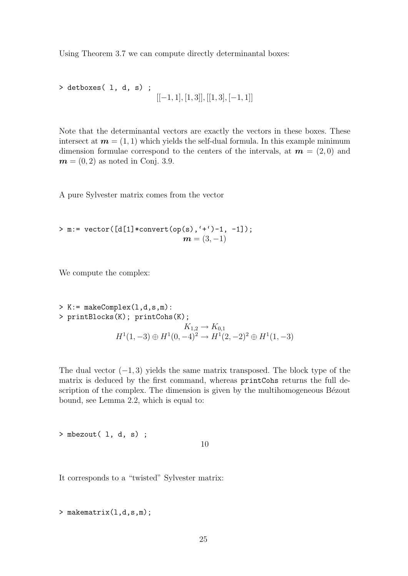Using Theorem 3.7 we can compute directly determinantal boxes:

> detboxes( l, d, s) ;  $[[-1, 1], [1, 3]], [[1, 3], [-1, 1]]$ 

Note that the determinantal vectors are exactly the vectors in these boxes. These intersect at  $m = (1, 1)$  which yields the self-dual formula. In this example minimum dimension formulae correspond to the centers of the intervals, at  $m = (2, 0)$  and  $m = (0, 2)$  as noted in Conj. 3.9.

A pure Sylvester matrix comes from the vector

> m:= vector([d[1]\*convert(op(s),'+')-1, -1]);  $m = (3, -1)$ 

We compute the complex:

> K := makeComplex(1,d,s,m):  
\n> printblocks(K); printCohs(K);  
\n
$$
K_{1,2} \rightarrow K_{0,1}
$$
\n
$$
H^1(1,-3) \oplus H^1(0,-4)^2 \rightarrow H^1(2,-2)^2 \oplus H^1(1,-3)
$$

The dual vector  $(-1, 3)$  yields the same matrix transposed. The block type of the matrix is deduced by the first command, whereas printCohs returns the full description of the complex. The dimension is given by the multihomogeneous Bézout bound, see Lemma 2.2, which is equal to:

> mbezout( l, d, s) ;

10

It corresponds to a "twisted" Sylvester matrix:

> makematrix(1,d,s,m);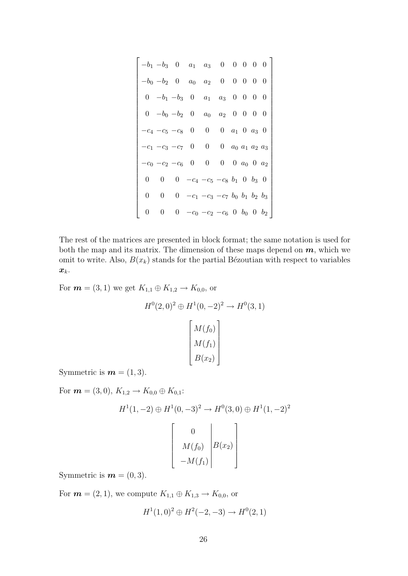$$
\begin{bmatrix}\n-b_1 & -b_3 & 0 & a_1 & a_3 & 0 & 0 & 0 & 0 & 0 \\
-b_0 & -b_2 & 0 & a_0 & a_2 & 0 & 0 & 0 & 0 & 0 \\
0 & -b_1 & -b_3 & 0 & a_1 & a_3 & 0 & 0 & 0 & 0 \\
0 & -b_0 & -b_2 & 0 & a_0 & a_2 & 0 & 0 & 0 & 0 \\
-c_4 & -c_5 & -c_8 & 0 & 0 & 0 & a_1 & 0 & a_3 & 0 \\
-c_1 & -c_3 & -c_7 & 0 & 0 & 0 & a_0 & a_1 & a_2 & a_3 \\
-c_0 & -c_2 & -c_6 & 0 & 0 & 0 & 0 & a_0 & 0 & a_2 \\
0 & 0 & 0 & -c_4 & -c_5 & -c_8 & b_1 & 0 & b_3 & 0 \\
0 & 0 & 0 & -c_1 & -c_3 & -c_7 & b_0 & b_1 & b_2 & b_3 \\
0 & 0 & 0 & -c_0 & -c_2 & -c_6 & 0 & b_0 & 0 & b_2\n\end{bmatrix}
$$

The rest of the matrices are presented in block format; the same notation is used for both the map and its matrix. The dimension of these maps depend on  $m$ , which we omit to write. Also,  $B(x_k)$  stands for the partial Bézoutian with respect to variables  $\boldsymbol{x}_k$ .

For  $\mathbf{m} = (3, 1)$  we get  $K_{1,1} \oplus K_{1,2} \to K_{0,0}$ , or

$$
H^{0}(2,0)^{2} \oplus H^{1}(0,-2)^{2} \to H^{0}(3,1)
$$

$$
\begin{bmatrix} M(f_{0}) \\ M(f_{1}) \\ B(x_{2}) \end{bmatrix}
$$

Symmetric is  $\mathbf{m} = (1, 3)$ .

For  $\mathbf{m} = (3, 0), K_{1,2} \to K_{0,0} \oplus K_{0,1}$ :

$$
H^{1}(1, -2) \oplus H^{1}(0, -3)^{2} \to H^{0}(3, 0) \oplus H^{1}(1, -2)^{2}
$$

$$
\begin{bmatrix} 0 \\ M(f_{0}) \\ -M(f_{1}) \end{bmatrix} B(x_{2})
$$

Symmetric is  $\mathbf{m} = (0, 3)$ .

For  $m = (2, 1)$ , we compute  $K_{1,1} \oplus K_{1,3} \to K_{0,0}$ , or

$$
H^1(1,0)^2 \oplus H^2(-2,-3) \to H^0(2,1)
$$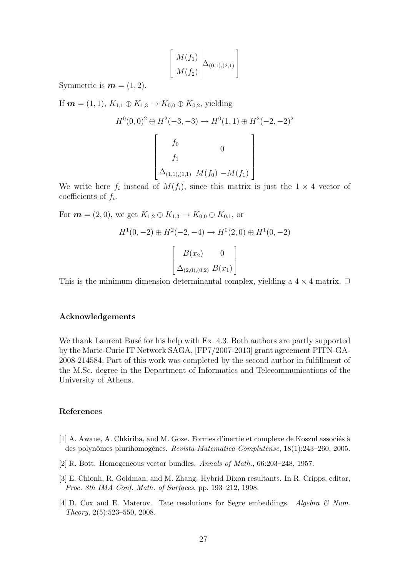$$
\left[\begin{array}{c} M(f_1) \\ M(f_2) \end{array} \middle| \Delta_{(0,1),(2,1)} \right]
$$

Symmetric is  $m = (1, 2)$ .

If  $m = (1, 1), K_{1,1} \oplus K_{1,3} \rightarrow K_{0,0} \oplus K_{0,2}$ , yielding

$$
H^{0}(0,0)^{2} \oplus H^{2}(-3,-3) \to H^{0}(1,1) \oplus H^{2}(-2,-2)^{2}
$$
  

$$
\begin{bmatrix} f_{0} & 0 \\ f_{1} & \Delta_{(1,1),(1,1)} M(f_{0}) - M(f_{1}) \end{bmatrix}
$$

We write here  $f_i$  instead of  $M(f_i)$ , since this matrix is just the  $1 \times 4$  vector of coefficients of  $f_i$ .

For  $\mathbf{m} = (2, 0)$ , we get  $K_{1,2} \oplus K_{1,3} \to K_{0,0} \oplus K_{0,1}$ , or

$$
H^{1}(0, -2) \oplus H^{2}(-2, -4) \to H^{0}(2, 0) \oplus H^{1}(0, -2)
$$

$$
\begin{bmatrix} B(x_{2}) & 0 \ \Delta_{(2,0),(0,2)} & B(x_{1}) \end{bmatrix}
$$

This is the minimum dimension determinantal complex, yielding a  $4 \times 4$  matrix.  $\Box$ 

#### Acknowledgements

We thank Laurent Busé for his help with Ex. 4.3. Both authors are partly supported by the Marie-Curie IT Network SAGA, [FP7/2007-2013] grant agreement PITN-GA-2008-214584. Part of this work was completed by the second author in fulfillment of the M.Sc. degree in the Department of Informatics and Telecommunications of the University of Athens.

## References

- $[1]$  A. Awane, A. Chkiriba, and M. Goze. Formes d'inertie et complexe de Koszul associés à des polynômes plurihomogènes. Revista Matematica Complutense, 18(1):243–260, 2005.
- [2] R. Bott. Homogeneous vector bundles. Annals of Math., 66:203–248, 1957.
- [3] E. Chionh, R. Goldman, and M. Zhang. Hybrid Dixon resultants. In R. Cripps, editor, Proc. 8th IMA Conf. Math. of Surfaces, pp. 193–212, 1998.
- [4] D. Cox and E. Materov. Tate resolutions for Segre embeddings. Algebra  $\mathcal{C}$  Num. Theory, 2(5):523–550, 2008.